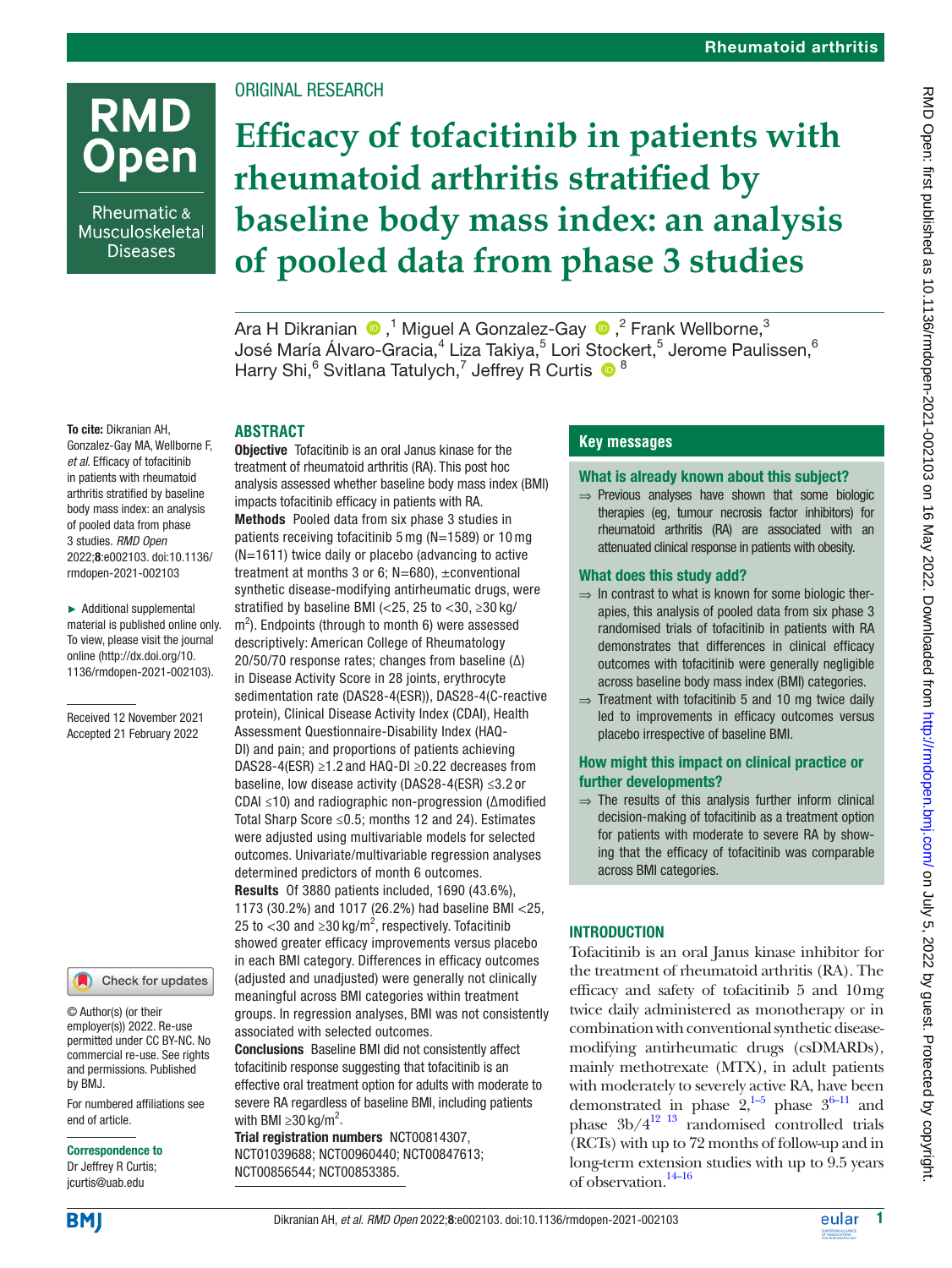# **RMD Open**

Rheumatic & Musculoskeletal **Diseases** 

## ORIGINAL RESEARCH

## **Efficacy of tofacitinib in patients with rheumatoid arthritis stratified by baseline body mass index: an analysis of pooled data from phase 3 studies**

AraH Dikranian  $\,^{\tiny\textcircled{\textcirc}}\,$ , $^{\tiny\textcircled{\textcirc}}$  Miguel A Gonzalez-Gay  $\,^{\tiny\textcircled{\textcircled{\textcirc}}}$ , $^{\tiny\textcircled{\textcirc}}$  Frank Wellborne, $^{\tiny\textcircled{\textcircled{\textcirc}}}$ José María Álvaro-Gracia, $^4$  Liza Takiya, $^5$  Lori Stockert, $^5$  Jerome Paulissen, $^6$ Harry Shi,<sup>6</sup> Svitlana Tatulych,<sup>7</sup> Jeffrey R Curtis <sup>18</sup>

#### To cite: Dikranian AH, Gonzalez-Gay MA, Wellborne F, *et al*. Efficacy of tofacitinib in patients with rheumatoid arthritis stratified by baseline body mass index: an analysis of pooled data from phase 3 studies. *RMD Open* 2022;8:e002103. doi:10.1136/

► Additional supplemental material is published online only. To view, please visit the journal online ([http://dx.doi.org/10.](http://dx.doi.org/10.1136/rmdopen-2021-002103) [1136/rmdopen-2021-002103\)](http://dx.doi.org/10.1136/rmdopen-2021-002103).

rmdopen-2021-002103

Received 12 November 2021 Accepted 21 February 2022



© Author(s) (or their employer(s)) 2022. Re-use permitted under CC BY-NC. No commercial re-use. See rights and permissions. Published by BMJ.

For numbered affiliations see end of article.

Correspondence to

Dr Jeffrey R Curtis; jcurtis@uab.edu

## **ABSTRACT**

**Objective** Tofacitinib is an oral Janus kinase for the treatment of rheumatoid arthritis (RA). This post hoc analysis assessed whether baseline body mass index (BMI) impacts tofacitinib efficacy in patients with RA. Methods Pooled data from six phase 3 studies in patients receiving tofacitinib 5 mg (N=1589) or 10 mg (N=1611) twice daily or placebo (advancing to active treatment at months 3 or 6;  $N=680$ ),  $\pm$ conventional synthetic disease-modifying antirheumatic drugs, were stratified by baseline BMI (<25, 25 to <30,  $\geq$ 30 kg/  $m<sup>2</sup>$ ). Endpoints (through to month 6) were assessed descriptively: American College of Rheumatology 20/50/70 response rates; changes from baseline (∆) in Disease Activity Score in 28 joints, erythrocyte sedimentation rate (DAS28-4(ESR)), DAS28-4(C-reactive protein), Clinical Disease Activity Index (CDAI), Health Assessment Questionnaire-Disability Index (HAQ-DI) and pain; and proportions of patients achieving DAS28-4(ESR) ≥1.2 and HAQ-DI ≥0.22 decreases from baseline, low disease activity (DAS28-4(ESR) ≤3.2 or CDAI ≤10) and radiographic non-progression (∆modified Total Sharp Score ≤0.5; months 12 and 24). Estimates were adjusted using multivariable models for selected outcomes. Univariate/multivariable regression analyses determined predictors of month 6 outcomes. Results Of 3880 patients included, 1690 (43.6%), 1173 (30.2%) and 1017 (26.2%) had baseline BMI <25, 25 to  $<$ 30 and  $\geq$ 30 kg/m<sup>2</sup>, respectively. Tofacitinib showed greater efficacy improvements versus placebo in each BMI category. Differences in efficacy outcomes (adjusted and unadjusted) were generally not clinically meaningful across BMI categories within treatment groups. In regression analyses, BMI was not consistently associated with selected outcomes.

Conclusions Baseline BMI did not consistently affect tofacitinib response suggesting that tofacitinib is an effective oral treatment option for adults with moderate to severe RA regardless of baseline BMI, including patients with BMI  $\geq$ 30 kg/m<sup>2</sup>.

Trial registration numbers <NCT00814307>, <NCT01039688>; <NCT00960440>; [NCT00847613;](NCT00847613) <NCT00856544>; <NCT00853385>.

## **Key messages**

#### What is already known about this subject?

⇒ Previous analyses have shown that some biologic therapies (eg, tumour necrosis factor inhibitors) for rheumatoid arthritis (RA) are associated with an attenuated clinical response in patients with obesity.

#### What does this study add?

- ⇒ In contrast to what is known for some biologic therapies, this analysis of pooled data from six phase 3 randomised trials of tofacitinib in patients with RA demonstrates that differences in clinical efficacy outcomes with tofacitinib were generally negligible across baseline body mass index (BMI) categories.
- ⇒ Treatment with tofacitinib 5 and 10 mg twice daily led to improvements in efficacy outcomes versus placebo irrespective of baseline BMI.

#### How might this impact on clinical practice or further developments?

 $\Rightarrow$  The results of this analysis further inform clinical decision-making of tofacitinib as a treatment option for patients with moderate to severe RA by showing that the efficacy of tofacitinib was comparable across BMI categories.

## INTRODUCTION

Tofacitinib is an oral Janus kinase inhibitor for the treatment of rheumatoid arthritis (RA). The efficacy and safety of tofacitinib 5 and 10mg twice daily administered as monotherapy or in combination with conventional synthetic diseasemodifying antirheumatic drugs (csDMARDs), mainly methotrexate (MTX), in adult patients with moderately to severely active RA, have been demonstrated in phase  $2,^{1-5}$  phase  $3^{6-11}$  and phase  $3b/4^{12}$  <sup>13</sup> randomised controlled trials (RCTs) with up to 72 months of follow-up and in long-term extension studies with up to 9.5 years of observation[.14–16](#page-10-3)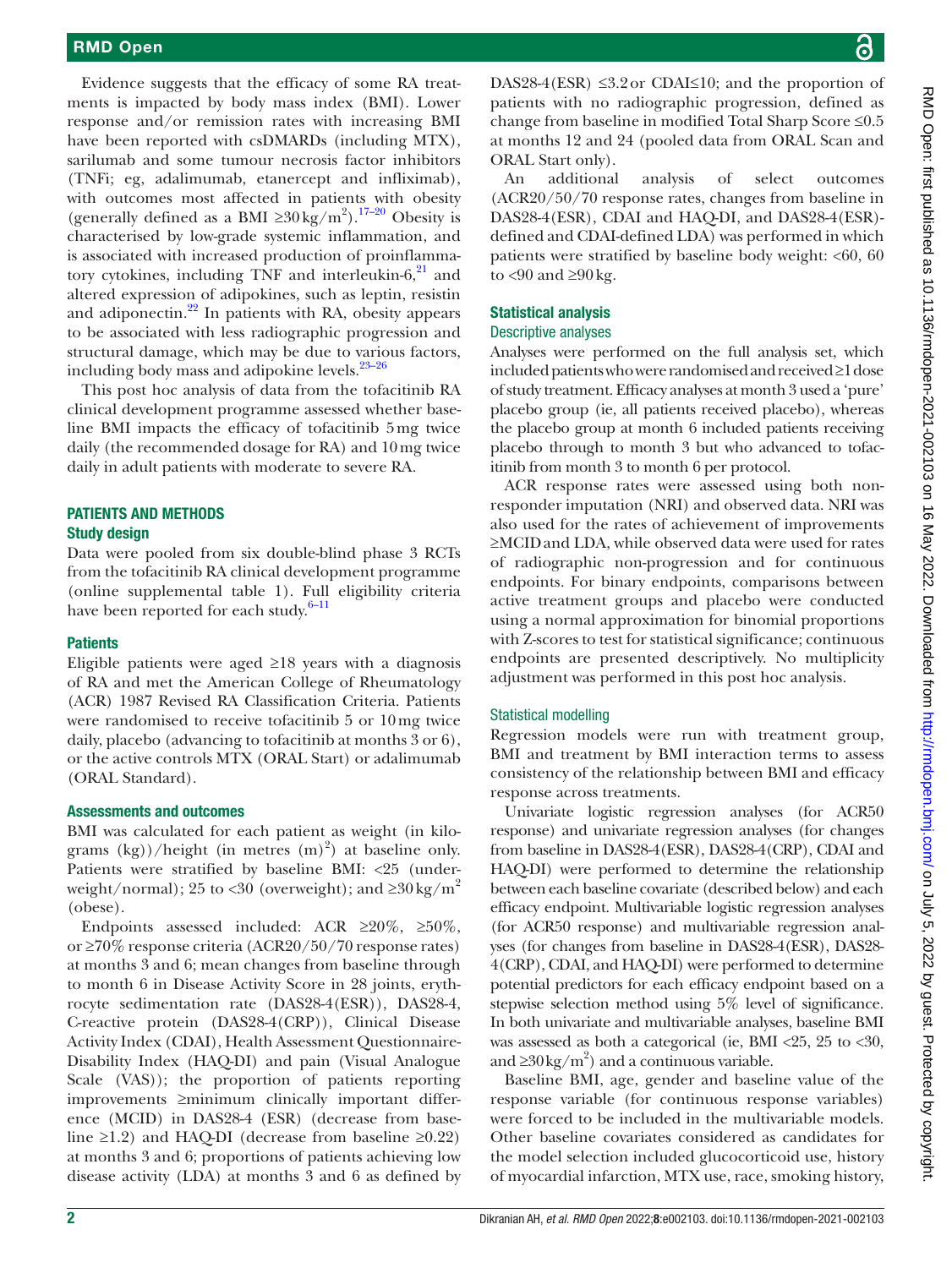Evidence suggests that the efficacy of some RA treatments is impacted by body mass index (BMI). Lower response and/or remission rates with increasing BMI have been reported with csDMARDs (including MTX), sarilumab and some tumour necrosis factor inhibitors (TNFi; eg, adalimumab, etanercept and infliximab), with outcomes most affected in patients with obesity (generally defined as a BMI  $\geq 30 \text{ kg/m}^2$ ).<sup>17–20</sup> Obesity is characterised by low-grade systemic inflammation, and is associated with increased production of proinflammatory cytokines, including TNF and interleukin- $6<sup>21</sup>$  $6<sup>21</sup>$  $6<sup>21</sup>$  and altered expression of adipokines, such as leptin, resistin and adiponectin.<sup>22</sup> In patients with RA, obesity appears to be associated with less radiographic progression and structural damage, which may be due to various factors, including body mass and adipokine levels. $23-26$ 

This post hoc analysis of data from the tofacitinib RA clinical development programme assessed whether baseline BMI impacts the efficacy of tofacitinib 5mg twice daily (the recommended dosage for RA) and 10mg twice daily in adult patients with moderate to severe RA.

## PATIENTS AND METHODS Study design

Data were pooled from six double-blind phase 3 RCTs from the tofacitinib RA clinical development programme [\(online supplemental table 1\)](https://dx.doi.org/10.1136/rmdopen-2021-002103). Full eligibility criteria have been reported for each study. $6-11$ 

#### **Patients**

Eligible patients were aged  $\geq$ 18 years with a diagnosis of RA and met the American College of Rheumatology (ACR) 1987 Revised RA Classification Criteria. Patients were randomised to receive tofacitinib 5 or 10mg twice daily, placebo (advancing to tofacitinib at months 3 or 6), or the active controls MTX (ORAL Start) or adalimumab (ORAL Standard).

#### Assessments and outcomes

BMI was calculated for each patient as weight (in kilograms  $(kg)/\hbar$ eight (in metres  $(m)^2$ ) at baseline only. Patients were stratified by baseline BMI: <25 (underweight/normal); 25 to <30 (overweight); and  $\geq 30 \text{ kg/m}^2$ (obese).

Endpoints assessed included: ACR ≥20%, ≥50%, or ≥70% response criteria (ACR20/50/70 response rates) at months 3 and 6; mean changes from baseline through to month 6 in Disease Activity Score in 28 joints, erythrocyte sedimentation rate (DAS28-4(ESR)), DAS28-4, C-reactive protein (DAS28-4(CRP)), Clinical Disease Activity Index (CDAI), Health Assessment Questionnaire-Disability Index (HAQ-DI) and pain (Visual Analogue Scale (VAS)); the proportion of patients reporting improvements ≥minimum clinically important difference (MCID) in DAS28-4 (ESR) (decrease from baseline ≥1.2) and HAQ-DI (decrease from baseline ≥0.22) at months 3 and 6; proportions of patients achieving low disease activity (LDA) at months 3 and 6 as defined by

DAS28-4(ESR)  $\leq$ 3.2 or CDAI $\leq$ 10; and the proportion of patients with no radiographic progression, defined as change from baseline in modified Total Sharp Score ≤0.5 at months 12 and 24 (pooled data from ORAL Scan and ORAL Start only).

An additional analysis of select outcomes (ACR20/50/70 response rates, changes from baseline in DAS28-4(ESR), CDAI and HAQ-DI, and DAS28-4(ESR) defined and CDAI-defined LDA) was performed in which patients were stratified by baseline body weight:  $< 60, 60$ to  $<90$  and  $\geq90$  kg.

#### Statistical analysis

#### Descriptive analyses

Analyses were performed on the full analysis set, which included patients who were randomised and received≥1dose of study treatment. Efficacy analyses at month 3 used a 'pure' placebo group (ie, all patients received placebo), whereas the placebo group at month 6 included patients receiving placebo through to month 3 but who advanced to tofacitinib from month 3 to month 6 per protocol.

ACR response rates were assessed using both nonresponder imputation (NRI) and observed data. NRI was also used for the rates of achievement of improvements ≥MCIDand LDA, while observed data were used for rates of radiographic non-progression and for continuous endpoints. For binary endpoints, comparisons between active treatment groups and placebo were conducted using a normal approximation for binomial proportions with Z-scores to test for statistical significance; continuous endpoints are presented descriptively. No multiplicity adjustment was performed in this post hoc analysis.

#### Statistical modelling

Regression models were run with treatment group, BMI and treatment by BMI interaction terms to assess consistency of the relationship between BMI and efficacy response across treatments.

Univariate logistic regression analyses (for ACR50 response) and univariate regression analyses (for changes from baseline in DAS28-4(ESR), DAS28-4(CRP), CDAI and HAQ-DI) were performed to determine the relationship between each baseline covariate (described below) and each efficacy endpoint. Multivariable logistic regression analyses (for ACR50 response) and multivariable regression analyses (for changes from baseline in DAS28-4(ESR), DAS28- 4(CRP), CDAI, and HAQ-DI) were performed to determine potential predictors for each efficacy endpoint based on a stepwise selection method using 5% level of significance. In both univariate and multivariable analyses, baseline BMI was assessed as both a categorical (ie, BMI <25, 25 to <30, and  $\geq 30 \text{ kg/m}^2$ ) and a continuous variable.

Baseline BMI, age, gender and baseline value of the response variable (for continuous response variables) were forced to be included in the multivariable models. Other baseline covariates considered as candidates for the model selection included glucocorticoid use, history of myocardial infarction, MTX use, race, smoking history,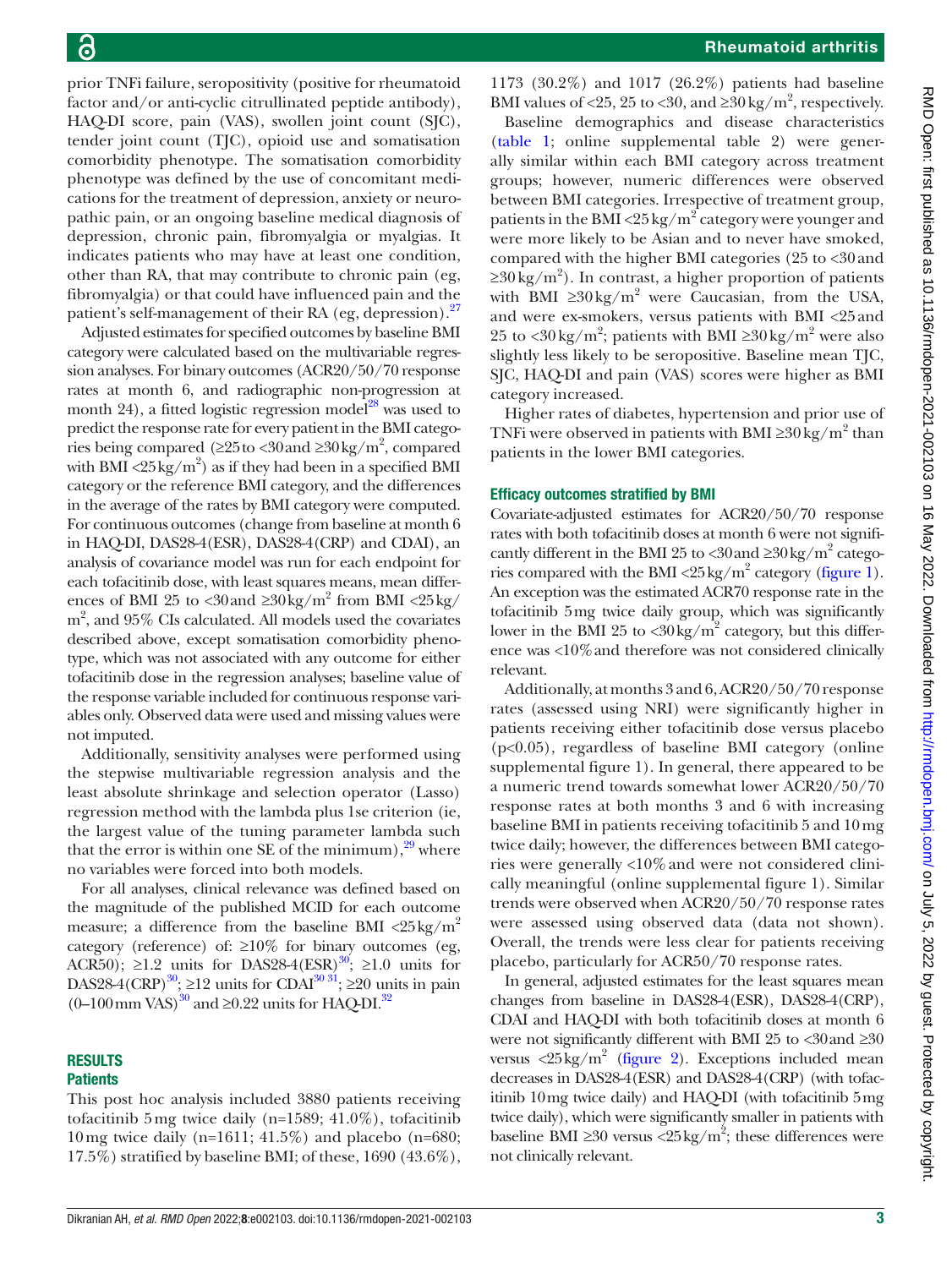prior TNFi failure, seropositivity (positive for rheumatoid factor and/or anti-cyclic citrullinated peptide antibody), HAQ-DI score, pain (VAS), swollen joint count (SJC), tender joint count (TJC), opioid use and somatisation comorbidity phenotype. The somatisation comorbidity phenotype was defined by the use of concomitant medications for the treatment of depression, anxiety or neuropathic pain, or an ongoing baseline medical diagnosis of depression, chronic pain, fibromyalgia or myalgias. It indicates patients who may have at least one condition, other than RA, that may contribute to chronic pain (eg, fibromyalgia) or that could have influenced pain and the patient's self-management of their RA (eg, depression).<sup>27</sup>

Adjusted estimates for specified outcomes by baseline BMI category were calculated based on the multivariable regression analyses. For binary outcomes (ACR20/50/70 response rates at month 6, and radiographic non-progression at month 24), a fitted logistic regression model<sup>28</sup> was used to predict the response rate for every patient in the BMI categories being compared (≥25 to <30 and ≥30 kg/m<sup>2</sup>, compared with BMI <25 kg/m<sup>2</sup>) as if they had been in a specified BMI category or the reference BMI category, and the differences in the average of the rates by BMI category were computed. For continuous outcomes (change from baseline at month 6 in HAQ-DI, DAS28-4(ESR), DAS28-4(CRP) and CDAI), an analysis of covariance model was run for each endpoint for each tofacitinib dose, with least squares means, mean differences of BMI 25 to <30 and  $\geq 30 \text{ kg/m}^2$  from BMI <25 kg/ m2 , and 95% CIs calculated. All models used the covariates described above, except somatisation comorbidity phenotype, which was not associated with any outcome for either tofacitinib dose in the regression analyses; baseline value of the response variable included for continuous response variables only. Observed data were used and missing values were not imputed.

Additionally, sensitivity analyses were performed using the stepwise multivariable regression analysis and the least absolute shrinkage and selection operator (Lasso) regression method with the lambda plus 1se criterion (ie, the largest value of the tuning parameter lambda such that the error is within one SE of the minimum),  $29$  where no variables were forced into both models.

For all analyses, clinical relevance was defined based on the magnitude of the published MCID for each outcome measure; a difference from the baseline BMI  $\langle 25 \text{kg/m}^2$ category (reference) of:  $\geq 10\%$  for binary outcomes (eg, ACR50);  $\geq 1.2$  units for DAS28-4(ESR)<sup>30</sup>;  $\geq 1.0$  units for DAS28-4(CRP)<sup>30</sup>; ≥12 units for CDAI<sup>30 31</sup>; ≥20 units in pain  $(0-100 \,\mathrm{mm\,VAS})^{30}$  and ≥0.22 units for HAQ-DI.<sup>[32](#page-10-12)</sup>

#### RESULTS **Patients**

This post hoc analysis included 3880 patients receiving tofacitinib 5 mg twice daily (n=1589; 41.0%), tofacitinib 10mg twice daily (n=1611; 41.5%) and placebo (n=680; 17.5%) stratified by baseline BMI; of these, 1690 (43.6%),

1173 (30.2%) and 1017 (26.2%) patients had baseline BMI values of <25, 25 to <30, and  $\geq$ 30 kg/m<sup>2</sup>, respectively.

Baseline demographics and disease characteristics [\(table](#page-3-0) 1; [online supplemental table 2\)](https://dx.doi.org/10.1136/rmdopen-2021-002103) were generally similar within each BMI category across treatment groups; however, numeric differences were observed between BMI categories. Irrespective of treatment group, patients in the BMI <25 kg/ $m^2$  category were younger and were more likely to be Asian and to never have smoked, compared with the higher BMI categories (25 to <30and  $\geq$ 30 kg/m<sup>2</sup>). In contrast, a higher proportion of patients with BMI  $\geq 30 \text{ kg/m}^2$  were Caucasian, from the USA, and were ex-smokers, versus patients with BMI <25and 25 to <30 kg/m<sup>2</sup>; patients with BMI  $\geq$ 30 kg/m<sup>2</sup> were also slightly less likely to be seropositive. Baseline mean TJC, SJC, HAQ-DI and pain (VAS) scores were higher as BMI category increased.

Higher rates of diabetes, hypertension and prior use of TNFi were observed in patients with BMI  $\geq 30 \text{ kg/m}^2$  than patients in the lower BMI categories.

#### Efficacy outcomes stratified by BMI

Covariate-adjusted estimates for ACR20/50/70 response rates with both tofacitinib doses at month 6 were not significantly different in the BMI 25 to <30 and  $\geq$ 30 kg/m<sup>2</sup> catego-ries compared with the BMI <25 kg/m<sup>2</sup> category [\(figure](#page-5-0) 1). An exception was the estimated ACR70 response rate in the tofacitinib 5mg twice daily group, which was significantly lower in the BMI 25 to  $\langle 30 \text{kg/m}^2 \rangle$  category, but this difference was <10%and therefore was not considered clinically relevant.

Additionally, at months 3 and 6, ACR20/50/70 response rates (assessed using NRI) were significantly higher in patients receiving either tofacitinib dose versus placebo (p<0.05), regardless of baseline BMI category [\(online](https://dx.doi.org/10.1136/rmdopen-2021-002103) [supplemental figure 1](https://dx.doi.org/10.1136/rmdopen-2021-002103)). In general, there appeared to be a numeric trend towards somewhat lower ACR20/50/70 response rates at both months 3 and 6 with increasing baseline BMI in patients receiving tofacitinib 5 and 10mg twice daily; however, the differences between BMI categories were generally <10%and were not considered clinically meaningful [\(online supplemental figure 1\)](https://dx.doi.org/10.1136/rmdopen-2021-002103). Similar trends were observed when ACR20/50/70 response rates were assessed using observed data (data not shown). Overall, the trends were less clear for patients receiving placebo, particularly for ACR50/70 response rates.

In general, adjusted estimates for the least squares mean changes from baseline in DAS28-4(ESR), DAS28-4(CRP), CDAI and HAQ-DI with both tofacitinib doses at month 6 were not significantly different with BMI 25 to <30and ≥30 versus  $\langle 25 \text{ kg/m}^2$  ([figure](#page-6-0) 2). Exceptions included mean decreases in DAS28-4(ESR) and DAS28-4(CRP) (with tofacitinib 10mg twice daily) and HAQ-DI (with tofacitinib 5mg twice daily), which were significantly smaller in patients with baseline BMI ≥30 versus <25 kg/m<sup>2</sup>; these differences were not clinically relevant.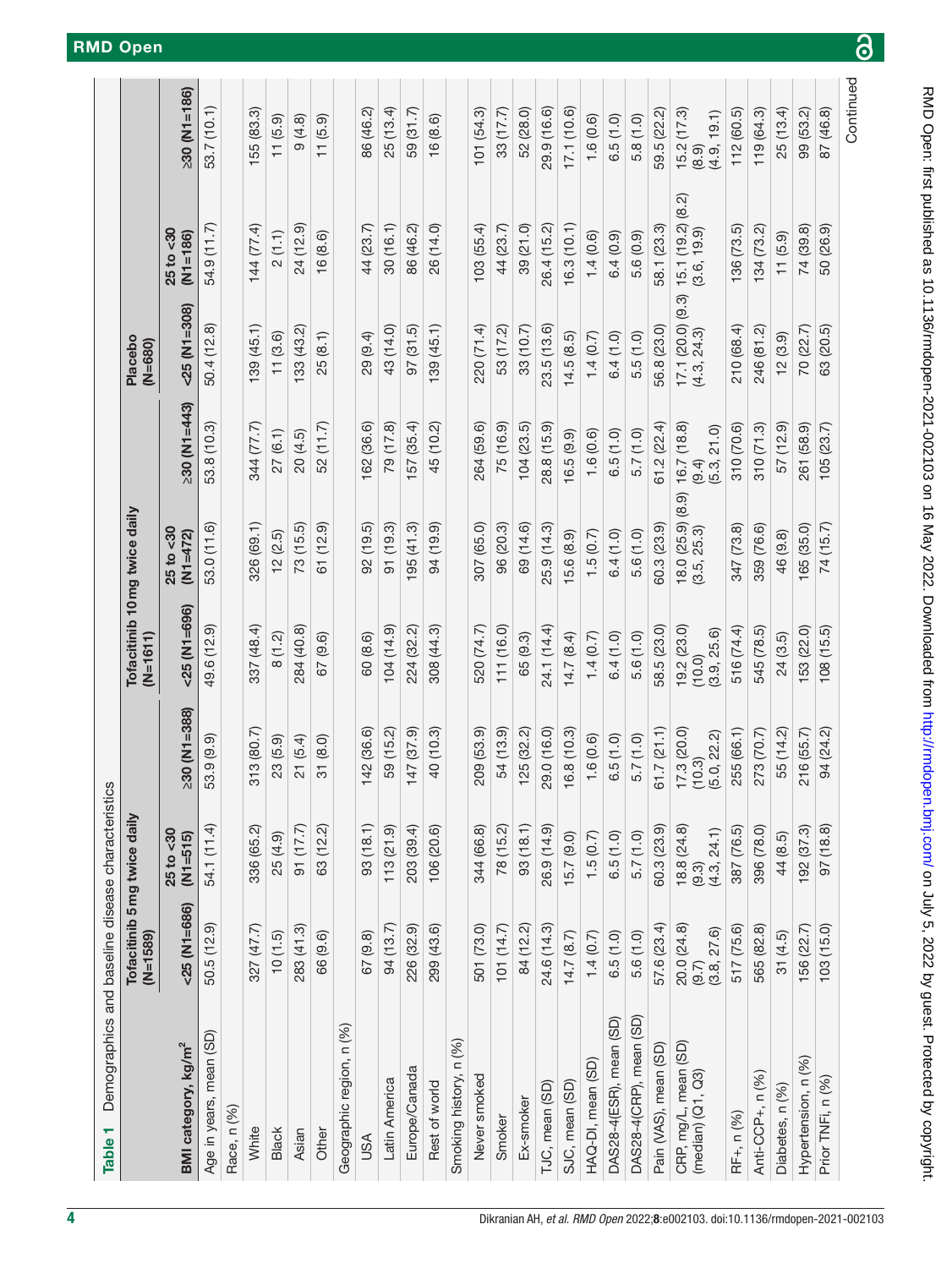<span id="page-3-0"></span>

| Demographics and baseline disease characteristi | $(M=1589)$                             | Tofacitinib 5 mg twice daily |                                     | Tofacitinib 10 mg twice daily<br>$(N=1611)$ |                                  |                                     | Placebo<br>$(N = 680)$             |                                  |                                    |
|-------------------------------------------------|----------------------------------------|------------------------------|-------------------------------------|---------------------------------------------|----------------------------------|-------------------------------------|------------------------------------|----------------------------------|------------------------------------|
| BMI category, kg/m <sup>2</sup>                 | $<$ 25 (N1=686)                        | $25$ to $30$<br>$(N1 = 515)$ | $230$ (N <sub>1</sub> =388)         | $< 25$ (N <sub>1</sub> =696)                | $25$ to $30$<br>$(N1=472)$       | $230$ (N1=443)                      | $-25$ (N <sub>1</sub> $=$ 308)     | 25 to <30<br>$(N1 = 186)$        | $230$ (N1=186)                     |
| Age in years, mean (SD)                         | 50.5 (12.9)                            | 54.1 (11.4)                  | 53.9 (9.9)                          | 49.6 (12.9)                                 | 53.0 (11.6)                      | 53.8 (10.3)                         | 50.4 (12.8)                        | 54.9 (11.7)                      | 53.7 (10.1)                        |
| Race, n (%)                                     |                                        |                              |                                     |                                             |                                  |                                     |                                    |                                  |                                    |
| White                                           | 327 (47.7)                             | 336 (65.2)                   | 313(80.7)                           | 337 (48.4)                                  | 326 (69.1)                       | 344 (77.7)                          | 139(45.1)                          | 144 (77.4)                       | 155 (83.3)                         |
| Black                                           | 10(1.5)                                | 25 (4.9)                     | 23 (5.9)                            | 8(1.2)                                      | 12(2.5)                          | 27(6.1)                             | 11(3.6)                            | 2(1.1)                           | 11(5.9)                            |
| Asian                                           | 283 (41.3)                             | $(7.7)$ (17.7)               | 21(5.4)                             | 284 (40.8)                                  | 73(15.5)                         | 20 (4.5)                            | 133 (43.2)                         | 24 (12.9)                        | 9(4.8)                             |
| Other                                           | 66 (9.6)                               | 63 (12.2)                    | 31 (8.0)                            | 67 (9.6)                                    | 61 (12.9)                        | 52 (11.7)                           | 25(8.1)                            | 16(8.6)                          | 11(5.9)                            |
| Geographic region, n (%)                        |                                        |                              |                                     |                                             |                                  |                                     |                                    |                                  |                                    |
| USA                                             | 67 (9.8)                               | 93(18.1)                     | 142 (36.6)                          | 60 (8.6)                                    | 92(19.5)                         | 162 (36.6)                          | 29 (9.4)                           | 44 (23.7)                        | 86 (46.2)                          |
| Latin America                                   | 94(13.7)                               | 113(21.9)                    | 59 (15.2)                           | $(6.41)$ $104$                              | 91(19.3)                         | 79 (17.8)                           | 43 (14.0)                          | 30(16.1)                         | 25(13.4)                           |
| Europe/Canada                                   | 226 (32.9)                             | 203 (39.4)                   | 147 (37.9)                          | 224 (32.2)                                  | 95(41.3)                         | 57 (35.4)                           | 97(31.5)                           | 86 (46.2)                        | 59 (31.7)                          |
| Rest of world                                   | 299 (43.6)                             | 106 (20.6)                   | 40 (10.3)                           | 308 (44.3)                                  | 94 (19.9)                        | 45 (10.2)                           | 139(45.1)                          | 26 (14.0)                        | 16(8.6)                            |
| Smoking history, n (%)                          |                                        |                              |                                     |                                             |                                  |                                     |                                    |                                  |                                    |
| Never smoked                                    | 501 (73.0)                             | 344 (66.8)                   | 209 (53.9)                          | 520 (74.7)                                  | 307 (65.0)                       | 264 (59.6)                          | 220 (71.4)                         | 103(55.4)                        | 101 (54.3)                         |
| Smoker                                          | 101(14.7)                              | 78 (15.2)                    | 54 (13.9)                           | 111(16.0)                                   | 96 (20.3)                        | 75 (16.9)                           | 53 (17.2)                          | 44 (23.7)                        | 33 (17.7)                          |
| Ex-smoker                                       | 84 (12.2)                              | 93(18.1)                     | 125 (32.2)                          | 65 (9.3)                                    | 69 (14.6)                        | 104(23.5)                           | 33 (10.7)                          | 39 (21.0)                        | 52 (28.0)                          |
| TJC, mean (SD)                                  | 24.6 (14.3)                            | 26.9 (14.9)                  | 29.0 (16.0)                         | 24.1 (14.4)                                 | 25.9 (14.3)                      | 28.8 (15.9)                         | 23.5(13.6)                         | 26.4 (15.2)                      | 29.9 (16.6)                        |
| SJC, mean (SD)                                  | 14.7(8.7)                              | 15.7(9.0)                    | 16.8(10.3)                          | 14.7(8.4)                                   | 15.6(8.9)                        | 16.5(9.9)                           | 14.5(8.5)                          | 16.3(10.1)                       | 17.1 (10.6)                        |
| HAQ-DI, mean (SD)                               | 1.4(0.7)                               | 1.5(0.7)                     | 1.6(0.6)                            | 1.4(0.7)                                    | 1.5(0.7)                         | 1.6(0.6)                            | 1.4(0.7)                           | 1.4(0.6)                         | 1.6(0.6)                           |
| DAS28-4(ESR), mean (SD)                         | 6.5(1.0)                               | 6.5(1.0)                     | 6.5(1.0)                            | 6.4(1.0)                                    | 6.4(1.0)                         | 6.5(1.0)                            | 6.4(1.0)                           | 6.4(0.9)                         | 6.5(1.0)                           |
| DAS28-4(CRP), mean (SD)                         | 5.6(1.0)                               | 5.7(1.0)                     | 5.7(1.0)                            | 5.6(1.0)                                    | 5.6(1.0)                         | 5.7(1.0)                            | 5.5(1.0)                           | 5.6 (0.9)                        | 5.8(1.0)                           |
| Pain (VAS), mean (SD)                           | 57.6 (23.4)                            | 60.3 (23.9)                  | 61.7(21.1)                          | 58.5 (23.0)                                 | 60.3 (23.9)                      | 61.2(22.4)                          | 56.8 (23.0)                        | 58.1 (23.3)                      | 59.5 (22.2)                        |
| CRP, mg/L, mean (SD)<br>$(median)$ $(Q1, Q3)$   | $20.0(24.8)$<br>$(9.7)$<br>(3.8, 27.6) | (9.3)<br>(4.3, 24.1)         | 17.3(20.0)<br>(5.0, 22.2)<br>(10.3) | 19.2(23.0)<br>(3.9, 25.6)<br>(10.0)         | 18.0 (25.9) (8.9)<br>(3.5, 25.3) | 16.7 (18.8)<br>(5.3, 21.0)<br>(9.4) | $17.1(20.0)(9.3)$<br>$(4.3, 24.3)$ | 15.1 (19.2) (8.2)<br>(3.6, 19.9) | 15.2(17.3)<br>(4.9, 19.1)<br>(8.9) |
| RF+, n (%)                                      | 517 (75.6)                             | 387 (76.5)                   | 255 (66.1)                          | 516 (74.4)                                  | 347 (73.8)                       | 310 (70.6)                          | 210 (68.4)                         | 136(73.5)                        | 112 (60.5)                         |
| Anti-CCP+, n (%)                                | 565 (82.8)                             | 396 (78.0)                   | 273 (70.7)                          | 545 (78.5)                                  | 359 (76.6)                       | 310(71.3)                           | 246 (81.2)                         | 134 (73.2)                       | 119 (64.3)                         |
| Diabetes, n (%)                                 | 31(4.5)                                | 44 (8.5)                     | 55 (14.2)                           | 24(3.5)                                     | 46 (9.8)                         | 57 (12.9)                           | 12(3.9)                            | 11(5.9)                          | 25(13.4)                           |
| Hypertension, n (%)                             | 156 (22.7)                             | 192 (37.3)                   | 216 (55.7)                          | 153 (22.0)                                  | 165 (35.0)                       | 261 (58.9)                          | 70 (22.7)                          | 74 (39.8)                        | 99 (53.2)                          |
| Prior TNFi, n (%)                               | 103(15.0)                              | 97(18.8)                     | 94 (24.2)                           | (108(15.5))                                 | 74 (15.7)                        | 105(23.7)                           | 63 (20.5)                          | 50 (26.9)                        | 87 (46.8)                          |
|                                                 |                                        |                              |                                     |                                             |                                  |                                     |                                    |                                  | Continued                          |

 $\overline{\partial}$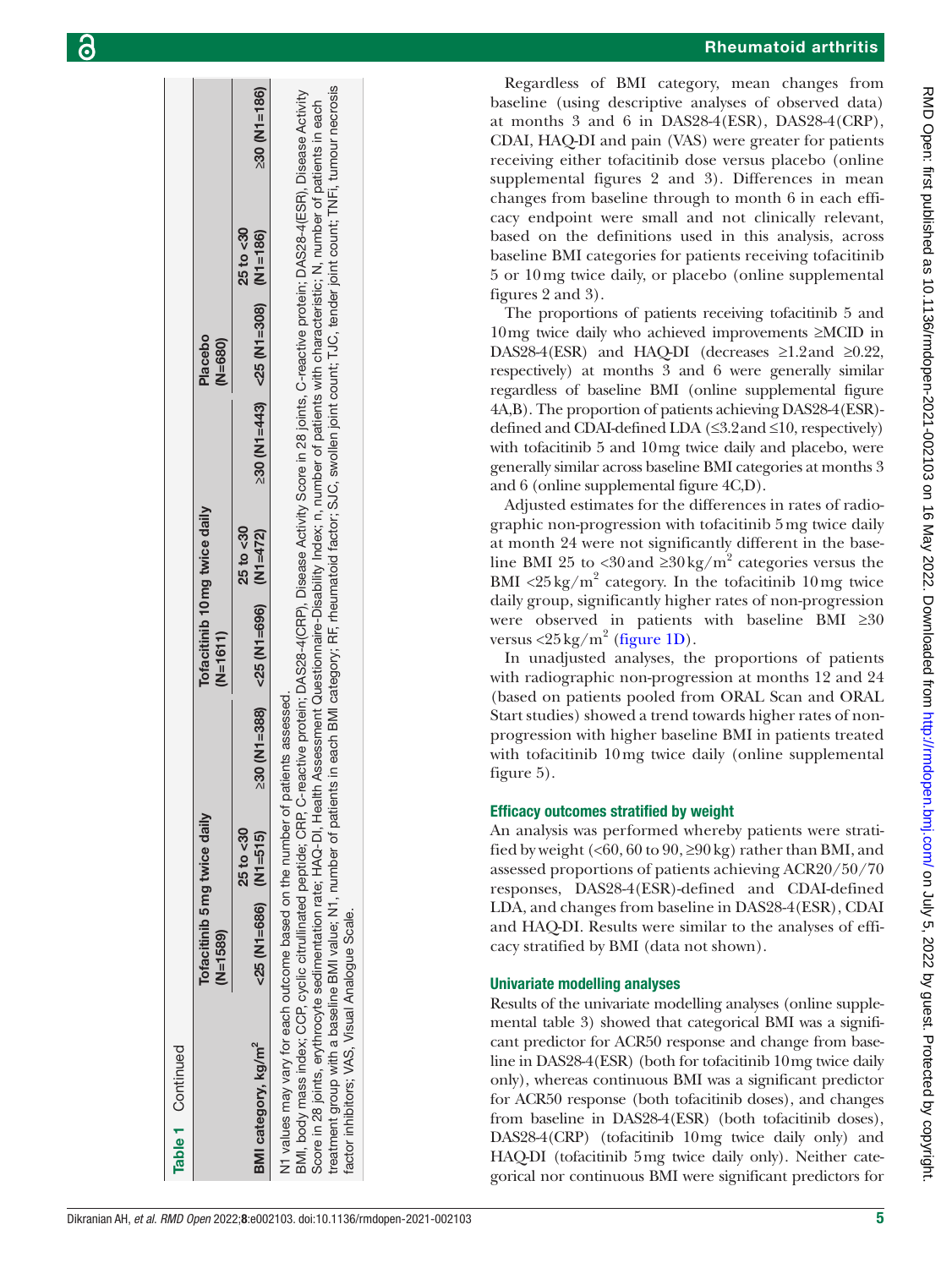|                                                                                                                                                                                                                                                                                                                                                                                                                                                                                                                                                                                                                                                               | Tofacitinib 5 mg twice daily<br>$(N=1589)$ |              | Tofacitinib 10mg twice daily<br>$(N=1611)$ |              | Placebo<br>$(N=680)$                 |              |                             |
|---------------------------------------------------------------------------------------------------------------------------------------------------------------------------------------------------------------------------------------------------------------------------------------------------------------------------------------------------------------------------------------------------------------------------------------------------------------------------------------------------------------------------------------------------------------------------------------------------------------------------------------------------------------|--------------------------------------------|--------------|--------------------------------------------|--------------|--------------------------------------|--------------|-----------------------------|
| BMI category, kg/m <sup>2</sup>                                                                                                                                                                                                                                                                                                                                                                                                                                                                                                                                                                                                                               | $<$ 25 (N1=686) (N1=515)                   | $25$ to $30$ | $230$ (N1=388) <25 (N1=696) (N1=472)       | $25$ to $30$ | $230$ (N1=443) <25 (N1=308) (N1=186) | $25$ to $30$ | $230$ (N <sub>1=186</sub> ) |
| treatment group with a baseline BMI value; N1, number of patients in each BMI category; RF, rheumatoid factor; SJC, swollen joint count; TJC, tender joint count; TNFi, tumour necrosis<br>BMI, body mass index; CCP, cyclic citrullinated peptide; CRP, C-reactive protein; DAS28-4(CRP), Disease Activity Score in 28 joints, C-reactive protein; DAS28-4(ESR), Disease Activity<br>Score in 28 joints, erythrocyte sedimentation rate; HAQ-DI, Health Assessment Questionnaire-Disability Index; n, number of patients with characteristic; N, number of patients in each<br>N1 values may vary for each outcome based on the number of patients assessed. |                                            |              |                                            |              |                                      |              |                             |

factor inhibitors; VAS, Visual Analogue Scale. factor inhibitors; VAS, Visual Analogue Scale. Rheumatoid arthritis

Regardless of BMI category, mean changes from baseline (using descriptive analyses of observed data) at months 3 and 6 in DAS28-4(ESR), DAS28-4(CRP), CDAI, HAQ-DI and pain (VAS) were greater for patients receiving either tofacitinib dose versus placebo [\(online](https://dx.doi.org/10.1136/rmdopen-2021-002103) [supplemental figures 2 and 3\)](https://dx.doi.org/10.1136/rmdopen-2021-002103). Differences in mean changes from baseline through to month 6 in each efficacy endpoint were small and not clinically relevant, based on the definitions used in this analysis, across baseline BMI categories for patients receiving tofacitinib 5 or 10mg twice daily, or placebo ([online supplemental](https://dx.doi.org/10.1136/rmdopen-2021-002103) [figures 2 and 3](https://dx.doi.org/10.1136/rmdopen-2021-002103)).

The proportions of patients receiving tofacitinib 5 and 10mg twice daily who achieved improvements ≥MCID in DAS28-4(ESR) and HAQ-DI (decreases  $\geq$ 1.2and  $\geq$ 0.22, respectively) at months 3 and 6 were generally similar regardless of baseline BMI [\(online supplemental figure](https://dx.doi.org/10.1136/rmdopen-2021-002103) [4A,B\)](https://dx.doi.org/10.1136/rmdopen-2021-002103). The proportion of patients achieving DAS28-4(ESR) defined and CDAI-defined LDA (≤3.2and ≤10, respectively) with tofacitinib 5 and 10mg twice daily and placebo, were generally similar across baseline BMI categories at months 3 and 6 ([online supplemental figure 4C,D\)](https://dx.doi.org/10.1136/rmdopen-2021-002103).

Adjusted estimates for the differences in rates of radiographic non-progression with tofacitinib 5mg twice daily at month 24 were not significantly different in the baseline BMI 25 to <30 and  $\geq 30 \text{ kg/m}^2$  categories versus the BMI <25 kg/m<sup>2</sup> category. In the tofacitinib 10 mg twice daily group, significantly higher rates of non-progression were observed in patients with baseline BMI ≥30 versus  $\langle 25 \,\mathrm{kg/m^2}$  ([figure](#page-5-0) 1D).

In unadjusted analyses, the proportions of patients with radiographic non-progression at months 12 and 24 (based on patients pooled from ORAL Scan and ORAL Start studies) showed a trend towards higher rates of nonprogression with higher baseline BMI in patients treated with tofacitinib 10mg twice daily ([online supplemental](https://dx.doi.org/10.1136/rmdopen-2021-002103) [figure 5\)](https://dx.doi.org/10.1136/rmdopen-2021-002103).

## Efficacy outcomes stratified by weight

An analysis was performed whereby patients were stratified by weight ( $\leq 60$ ,  $60$  to  $90$ ,  $\geq 90$  kg) rather than BMI, and assessed proportions of patients achieving ACR20/50/70 responses, DAS28-4(ESR)-defined and CDAI-defined LDA, and changes from baseline in DAS28-4(ESR), CDAI and HAQ-DI. Results were similar to the analyses of efficacy stratified by BMI (data not shown).

## Univariate modelling analyses

Results of the univariate modelling analyses [\(online supple](https://dx.doi.org/10.1136/rmdopen-2021-002103)[mental table 3](https://dx.doi.org/10.1136/rmdopen-2021-002103)) showed that categorical BMI was a significant predictor for ACR50 response and change from baseline in DAS28-4(ESR) (both for tofacitinib 10mg twice daily only), whereas continuous BMI was a significant predictor for ACR50 response (both tofacitinib doses), and changes from baseline in DAS28-4(ESR) (both tofacitinib doses), DAS28-4(CRP) (tofacitinib 10mg twice daily only) and HAQ-DI (tofacitinib 5mg twice daily only). Neither categorical nor continuous BMI were significant predictors for

Table 1 Continued

Continued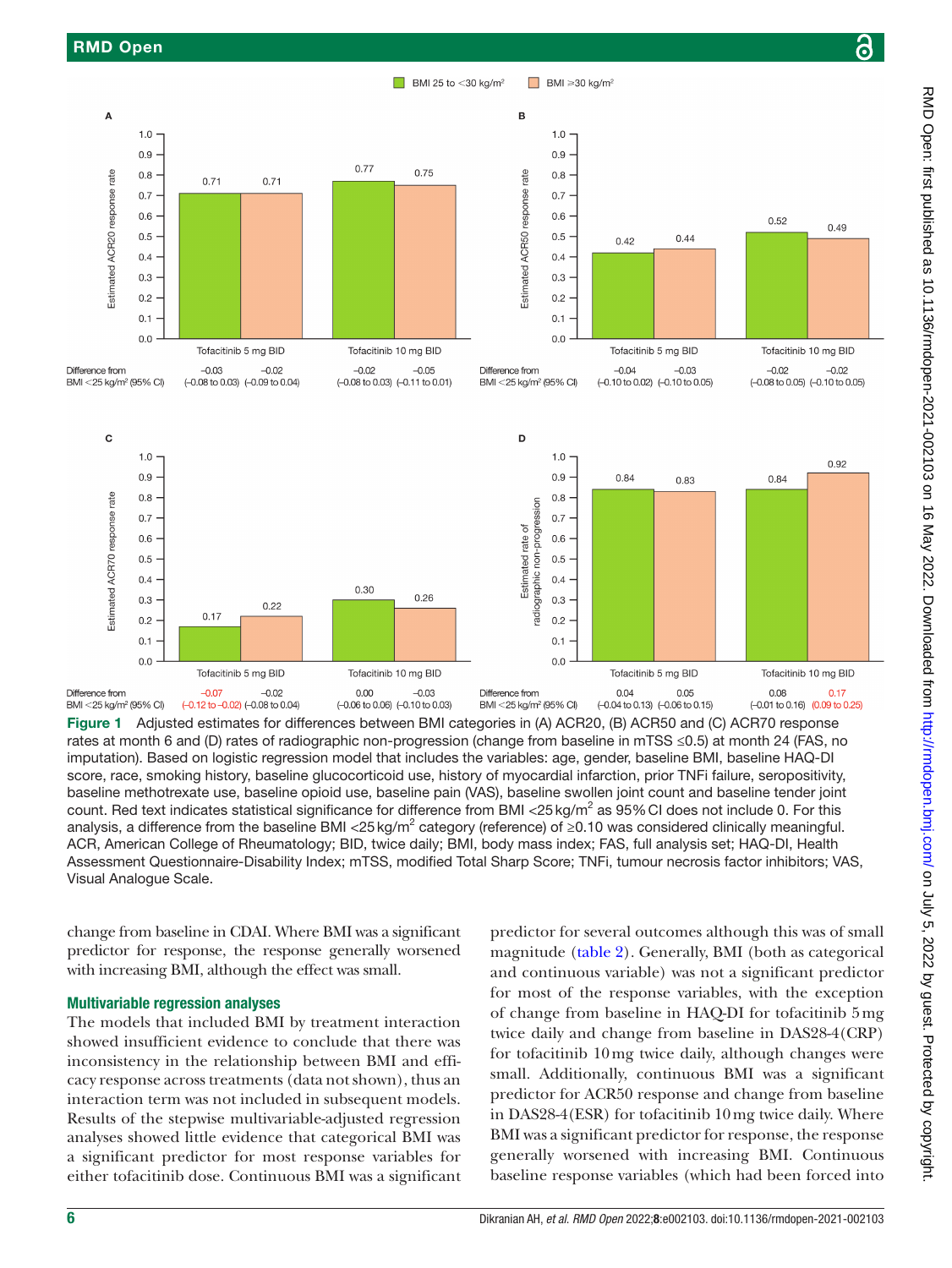

<span id="page-5-0"></span>Figure 1 Adjusted estimates for differences between BMI categories in (A) ACR20, (B) ACR50 and (C) ACR70 response rates at month 6 and (D) rates of radiographic non-progression (change from baseline in mTSS ≤0.5) at month 24 (FAS, no imputation). Based on logistic regression model that includes the variables: age, gender, baseline BMI, baseline HAQ-DI score, race, smoking history, baseline glucocorticoid use, history of myocardial infarction, prior TNFi failure, seropositivity, baseline methotrexate use, baseline opioid use, baseline pain (VAS), baseline swollen joint count and baseline tender joint count. Red text indicates statistical significance for difference from BMI <25 kg/m<sup>2</sup> as 95% CI does not include 0. For this analysis, a difference from the baseline BMI <25 kg/m<sup>2</sup> category (reference) of ≥0.10 was considered clinically meaningful. ACR, American College of Rheumatology; BID, twice daily; BMI, body mass index; FAS, full analysis set; HAQ-DI, Health Assessment Questionnaire-Disability Index; mTSS, modified Total Sharp Score; TNFi, tumour necrosis factor inhibitors; VAS, Visual Analogue Scale.

change from baseline in CDAI. Where BMI was a significant predictor for response, the response generally worsened with increasing BMI, although the effect was small.

#### Multivariable regression analyses

The models that included BMI by treatment interaction showed insufficient evidence to conclude that there was inconsistency in the relationship between BMI and efficacy response across treatments (data not shown), thus an interaction term was not included in subsequent models. Results of the stepwise multivariable-adjusted regression analyses showed little evidence that categorical BMI was a significant predictor for most response variables for either tofacitinib dose. Continuous BMI was a significant

predictor for several outcomes although this was of small magnitude [\(table](#page-7-0) 2). Generally, BMI (both as categorical and continuous variable) was not a significant predictor for most of the response variables, with the exception of change from baseline in HAQ-DI for tofacitinib 5mg twice daily and change from baseline in DAS28-4(CRP) for tofacitinib 10mg twice daily, although changes were small. Additionally, continuous BMI was a significant predictor for ACR50 response and change from baseline in DAS28-4(ESR) for tofacitinib 10mg twice daily. Where BMI was a significant predictor for response, the response generally worsened with increasing BMI. Continuous baseline response variables (which had been forced into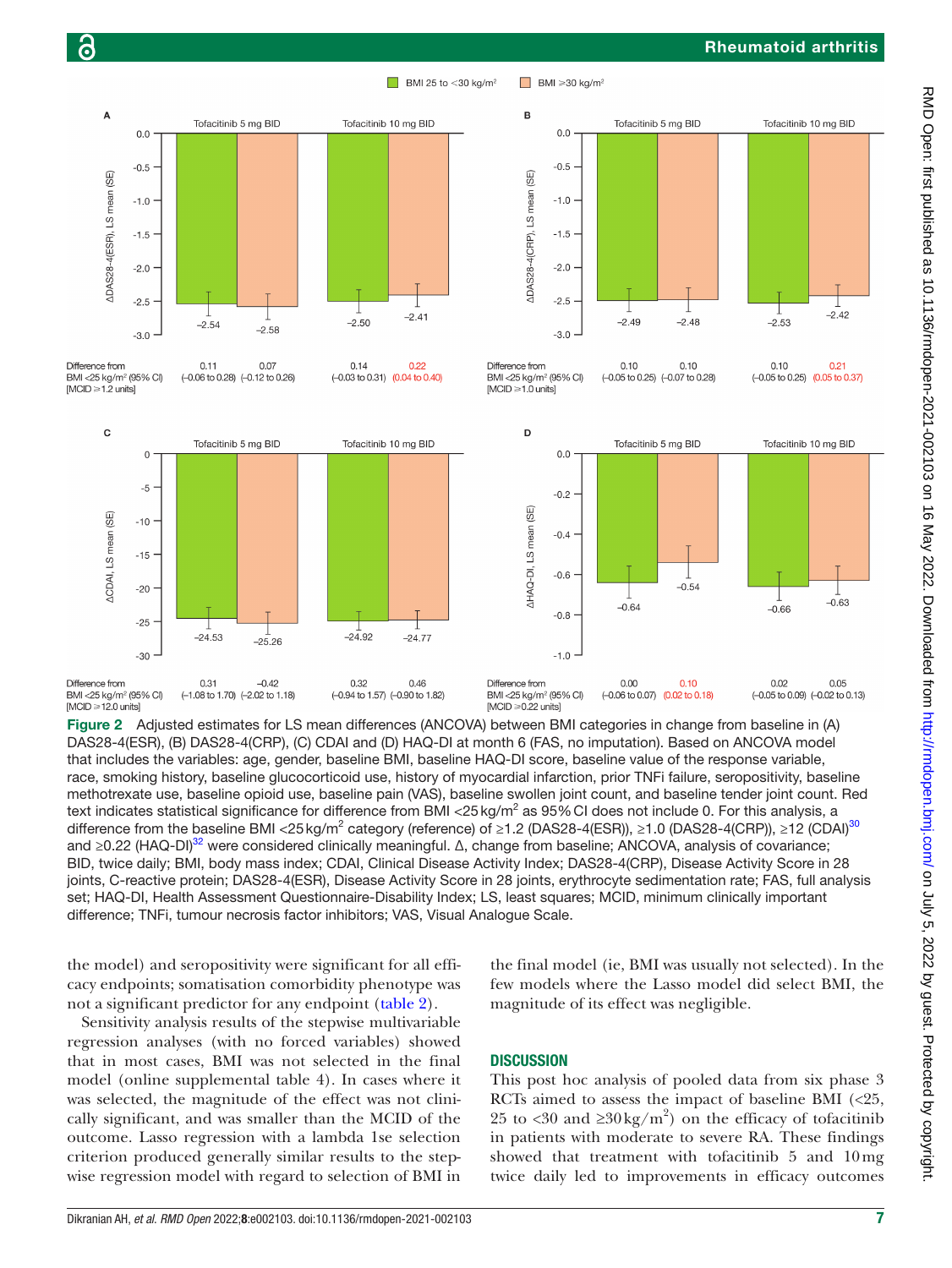#### Rheumatoid arthritis



BMI 25 to  $<$  30 kg/m<sup>2</sup>

 $\Box$  BMI  $\geqslant$  30 kg/m<sup>2</sup>

<span id="page-6-0"></span>Figure 2 Adjusted estimates for LS mean differences (ANCOVA) between BMI categories in change from baseline in (A) DAS28-4(ESR), (B) DAS28-4(CRP), (C) CDAI and (D) HAQ-DI at month 6 (FAS, no imputation). Based on ANCOVA model that includes the variables: age, gender, baseline BMI, baseline HAQ-DI score, baseline value of the response variable, race, smoking history, baseline glucocorticoid use, history of myocardial infarction, prior TNFi failure, seropositivity, baseline methotrexate use, baseline opioid use, baseline pain (VAS), baseline swollen joint count, and baseline tender joint count. Red text indicates statistical significance for difference from BMI <25 kg/m<sup>2</sup> as 95% CI does not include 0. For this analysis, a difference from the baseline BMI <25 kg/m<sup>2</sup> category (reference) of ≥1.2 (DAS28-4(ESR)), ≥1.0 (DAS28-4(CRP)), ≥12 (CDAI)<sup>30</sup> and ≥0.22 (HAQ-DI)<sup>[32](#page-10-12)</sup> were considered clinically meaningful. Δ, change from baseline; ANCOVA, analysis of covariance; BID, twice daily; BMI, body mass index; CDAI, Clinical Disease Activity Index; DAS28-4(CRP), Disease Activity Score in 28 joints, C-reactive protein; DAS28-4(ESR), Disease Activity Score in 28 joints, erythrocyte sedimentation rate; FAS, full analysis set; HAQ-DI, Health Assessment Questionnaire-Disability Index; LS, least squares; MCID, minimum clinically important difference; TNFi, tumour necrosis factor inhibitors; VAS, Visual Analogue Scale.

the model) and seropositivity were significant for all efficacy endpoints; somatisation comorbidity phenotype was not a significant predictor for any endpoint [\(table](#page-7-0) 2).

Sensitivity analysis results of the stepwise multivariable regression analyses (with no forced variables) showed that in most cases, BMI was not selected in the final model ([online supplemental table 4\)](https://dx.doi.org/10.1136/rmdopen-2021-002103). In cases where it was selected, the magnitude of the effect was not clinically significant, and was smaller than the MCID of the outcome. Lasso regression with a lambda 1se selection criterion produced generally similar results to the stepwise regression model with regard to selection of BMI in the final model (ie, BMI was usually not selected). In the few models where the Lasso model did select BMI, the magnitude of its effect was negligible.

#### **DISCUSSION**

This post hoc analysis of pooled data from six phase 3 RCTs aimed to assess the impact of baseline BMI  $\langle$  <25, 25 to <30 and  $\geq 30 \text{ kg/m}^2$  on the efficacy of tofacitinib in patients with moderate to severe RA. These findings showed that treatment with tofacitinib 5 and 10mg twice daily led to improvements in efficacy outcomes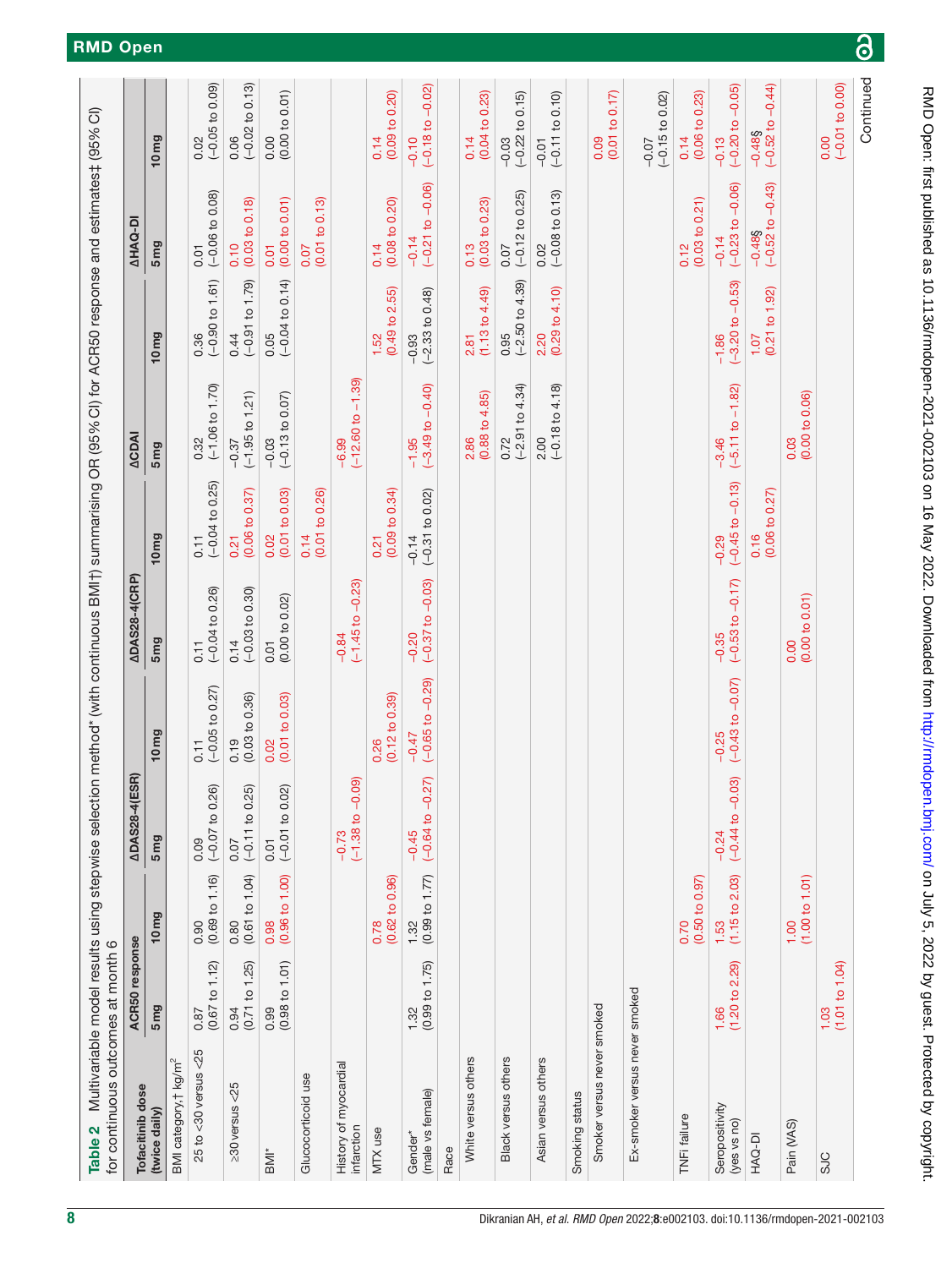<span id="page-7-0"></span>

| for continuous outcomes at month 6<br>Table 2 |                        |                                        |                               |                                   | Multivariable model results using stepwise selection method* (with continuous BMI†) summarising OR (95% CI) for ACR50 response and estimates‡ (95% CI) |                                        |                                        |                                        |                                                |                                    |
|-----------------------------------------------|------------------------|----------------------------------------|-------------------------------|-----------------------------------|--------------------------------------------------------------------------------------------------------------------------------------------------------|----------------------------------------|----------------------------------------|----------------------------------------|------------------------------------------------|------------------------------------|
| Tofacitinib dose                              | ACR50 response         |                                        | <b>ADAS28-4(ESR)</b>          |                                   | <b>ADAS28-4(CRP)</b>                                                                                                                                   |                                        | <b>ACDAI</b>                           |                                        | <b>AHAQ-DI</b>                                 |                                    |
| (twice daily)                                 | 5mg                    | 10 <sub>mg</sub>                       | 5 <sub>mg</sub>               | 10 <sub>mg</sub>                  | 5 <sub>mg</sub>                                                                                                                                        | 10 <sub>mg</sub>                       | 5 <sub>mg</sub>                        | 10 <sub>mg</sub>                       | 5 <sub>mg</sub>                                | 10 <sub>mg</sub>                   |
| BMI category, † kg/m <sup>2</sup>             |                        |                                        |                               |                                   |                                                                                                                                                        |                                        |                                        |                                        |                                                |                                    |
| $25$ to <30 versus < $25$                     | (0.67 to 1.12)<br>0.87 | $0.90$<br>$(0.69 \text{ to } 1.16)$    | $(-0.07 to 0.26)$<br>0.09     | $(-0.05 to 0.27)$<br>0.11         | $(-0.04 to 0.26)$<br>0.11                                                                                                                              | $(-0.04 to 0.25)$<br>0.11              | $(-1.06 \text{ to } 1.70)$<br>0.32     | $0.36$<br>(-0.90 to 1.61)              | $(-0.06 to 0.08)$<br>0.01                      | $(-0.05 to 0.09)$<br>0.02          |
| $\geq$ 30 versus <25                          | (0.71 to 1.25)<br>0.94 | (0.61 to 1.04)<br>0.80                 | $(-0.11 to 0.25)$<br>0.07     | (0.03 to 0.36)<br>0.19            | $(-0.03 to 0.30)$<br>0.14                                                                                                                              | (0.06 to 0.37)<br>0.21                 | $(-1.95 to 1.21)$<br>$-0.37$           | $(-0.91 to 1.79)$<br>0.44              | (0.03 to 0.18)<br>0.10                         | $(-0.02 \text{ to } 0.13)$<br>0.06 |
| BMI*                                          | (0.98 to 1.01)<br>0.99 | (0.96 t 0 1.00)<br>0.98                | $(-0.01 to 0.02)$<br>0.01     | (0.01 to 0.03)<br>0.02            | $0.01$<br>$(0.00 to 0.02)$                                                                                                                             | (0.01 to 0.03)<br>0.02                 | $(-0.13 to 0.07)$<br>$-0.03$           | $(-0.04 to 0.14)$<br>0.05              | (0.00 to 0.01)<br>0.01                         | (0.00 to 0.01)<br>0.00             |
| Glucocorticoid use                            |                        |                                        |                               |                                   |                                                                                                                                                        | (0.01 to 0.26)<br>0.14                 |                                        |                                        | (0.01 to 0.13)<br>0.07                         |                                    |
| History of myocardial<br>infarction           |                        |                                        | $(-1.38 to -0.09)$<br>$-0.73$ |                                   | $(-1.45$ to $-0.23)$<br>$-0.84$                                                                                                                        |                                        | $(-12.60 to -1.39)$<br>$-6.99$         |                                        |                                                |                                    |
| MTX use                                       |                        | $(0.62 \text{ to } 0.96)$<br>0.78      |                               | $(0.12 \text{ to } 0.39)$<br>0.26 |                                                                                                                                                        | (0.09 to 0.34)<br>0.21                 |                                        | (0.49 to 2.55)<br>1.52                 | (0.08 to 0.20)<br>0.14                         | (0.09 to 0.20)<br>0.14             |
| (male vs female)<br>Gender <sup>*</sup>       | (0.99 to 1.75)<br>1.32 | (0.99 to 1.77)<br>1.32                 | $(-0.64 to -0.27)$<br>$-0.45$ | $(-0.65 to -0.29)$<br>$-0.47$     | $-0.20$<br>$(-0.37$ to $-0.03)$                                                                                                                        | $-0.14$<br>$(-0.31 \text{ to } 0.02)$  | $(-3.49 \text{ to } -0.40)$<br>$-1.95$ | $-0.93$<br>$(-2.33 \text{ to } 0.48)$  | $(-0.21 to -0.06)$<br>$-0.14$                  | $-0.02$<br>$(-0.18)$<br>$-0.10$    |
| Race                                          |                        |                                        |                               |                                   |                                                                                                                                                        |                                        |                                        |                                        |                                                |                                    |
| White versus others                           |                        |                                        |                               |                                   |                                                                                                                                                        |                                        | $(0.88 \text{ to } 4.85)$<br>2.86      | (1.13 to 4.49)<br>2.81                 | (0.03 to 0.23)<br>0.13                         | (0.04 to 0.23)<br>0.14             |
| Black versus others                           |                        |                                        |                               |                                   |                                                                                                                                                        |                                        | $(-2.91$ to $4.34)$<br>0.72            | $(-2.50 to 4.39)$<br>0.95              | $(-0.12 to 0.25)$<br>0.07                      | $(-0.22 to 0.15)$<br>$-0.03$       |
| Asian versus others                           |                        |                                        |                               |                                   |                                                                                                                                                        |                                        | $(-0.18 \text{ to } 4.18)$<br>2.00     | (0.29 to 4.10)<br>2.20                 | $(-0.08 to 0.13)$<br>0.02                      | $(-0.11$ to $0.10)$<br>$-0.01$     |
| Smoking status                                |                        |                                        |                               |                                   |                                                                                                                                                        |                                        |                                        |                                        |                                                |                                    |
| Smoker versus never smoked                    |                        |                                        |                               |                                   |                                                                                                                                                        |                                        |                                        |                                        |                                                | (0.01 to 0.17)<br>0.09             |
| Ex-smoker versus never smoked                 |                        |                                        |                               |                                   |                                                                                                                                                        |                                        |                                        |                                        |                                                | $(-0.15$ to $0.02)$<br>$-0.07$     |
| TNFi failure                                  |                        | (0.50 to 0.97)<br>0.70                 |                               |                                   |                                                                                                                                                        |                                        |                                        |                                        | (0.03 to 0.21)<br>0.12                         | (0.06 to 0.23)<br>0.14             |
| Seropositivity<br>(yes vs no)                 | (1.20 to 2.29)<br>1.66 | (1.15 to 2.03)<br>1.53                 | $(-0.44 to -0.03)$<br>$-0.24$ | $(-0.43$ to $-0.07)$<br>$-0.25$   | $(-0.53$ to $-0.17)$<br>$-0.35$                                                                                                                        | $(-0.45 \text{ to } -0.13)$<br>$-0.29$ | $(-5.11 to -1.82)$<br>$-3.46$          | $(-3.20 \text{ to } -0.53)$<br>$-1.86$ | $(-0.23 to -0.06)$<br>$-0.14$                  | $(-0.20 to -0.05)$<br>$-0.13$      |
| HAQ-DI                                        |                        |                                        |                               |                                   |                                                                                                                                                        | $0.16$<br>(0.06 to 0.27)               |                                        | $\frac{1.07}{(0.21 \text{ to } 1.92)}$ | $-0.43$<br>$-0.48$ §<br>$(-0.52 \text{ to } -$ | $-0.48$ §<br>(-0.52 to $-0.44$ )   |
| Pain (VAS)                                    |                        | $\frac{1.00}{(1.00 \text{ to } 1.01)}$ |                               |                                   | (0.00 to 0.01)<br>0.00                                                                                                                                 |                                        | (0.00 to 0.06)<br>0.03                 |                                        |                                                |                                    |
| <b>SJC</b>                                    | (1.01 to 1.04)<br>1.03 |                                        |                               |                                   |                                                                                                                                                        |                                        |                                        |                                        |                                                | $(-0.01 to 0.00)$<br>0.00          |
|                                               |                        |                                        |                               |                                   |                                                                                                                                                        |                                        |                                        |                                        |                                                | Continued                          |

on July 5, 2022 by guest. Protected by copyright. <http://rmdopen.bmj.com/> RMD Open: first published as 10.1136/rmdopen-2021-002103 on 16 May 2022. Downloaded from

RMD Open: first published as 10.1136/rmdopen-2021-002103 on 16 May 2022. Downloaded from http://rmdopen.bmj.com/ on July 5, 2022 by guest. Protected by copyright.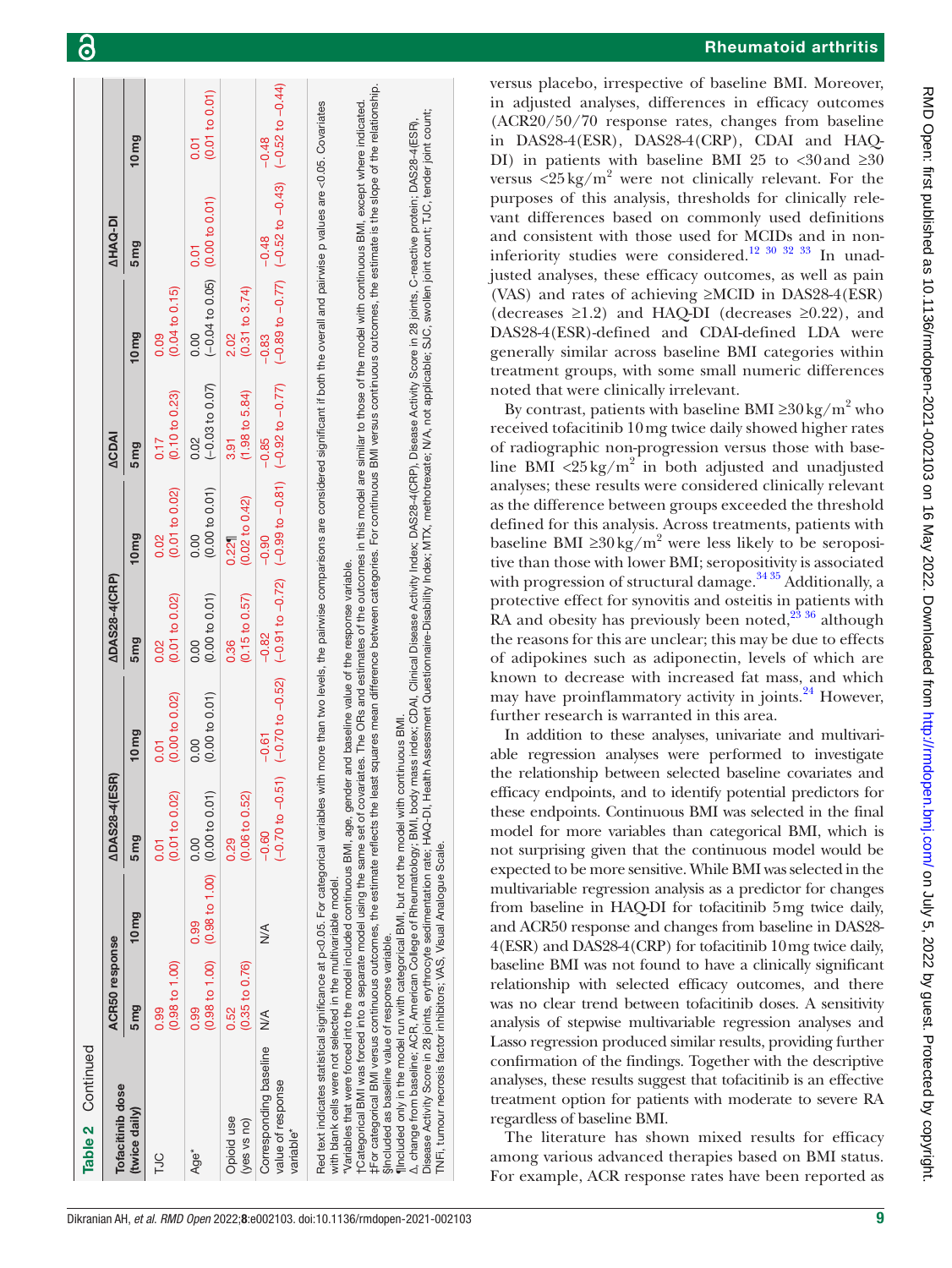| Table 2 Continued                                                                                                                                                                                                                                                                                                                                                                                                                                                                                                                                                                                                                                                                                                                                                                                                                                                                                                                            |                        |                                                                                       |                             |                        |                                                                                                                      |                                   |                                   |                                                   |                                                                                                |                                      |
|----------------------------------------------------------------------------------------------------------------------------------------------------------------------------------------------------------------------------------------------------------------------------------------------------------------------------------------------------------------------------------------------------------------------------------------------------------------------------------------------------------------------------------------------------------------------------------------------------------------------------------------------------------------------------------------------------------------------------------------------------------------------------------------------------------------------------------------------------------------------------------------------------------------------------------------------|------------------------|---------------------------------------------------------------------------------------|-----------------------------|------------------------|----------------------------------------------------------------------------------------------------------------------|-----------------------------------|-----------------------------------|---------------------------------------------------|------------------------------------------------------------------------------------------------|--------------------------------------|
| Tofacitinib dose                                                                                                                                                                                                                                                                                                                                                                                                                                                                                                                                                                                                                                                                                                                                                                                                                                                                                                                             | ACR50 response         |                                                                                       | <b>ADAS28-4(ESR)</b>        |                        | <b>ADAS28-4(CRP)</b>                                                                                                 |                                   | ACDAI                             |                                                   | <b>AHAQ-DI</b>                                                                                 |                                      |
| (twice daily)                                                                                                                                                                                                                                                                                                                                                                                                                                                                                                                                                                                                                                                                                                                                                                                                                                                                                                                                | 5 <sub>mg</sub>        | 10 <sub>mg</sub>                                                                      | 5mg                         | 10 <sub>mg</sub>       | 5 <sub>mg</sub>                                                                                                      | 10 <sub>mg</sub>                  | 5mg                               | 10 <sub>mg</sub>                                  | 5mg                                                                                            | 10 <sub>mg</sub>                     |
| <b>TJC</b>                                                                                                                                                                                                                                                                                                                                                                                                                                                                                                                                                                                                                                                                                                                                                                                                                                                                                                                                   | (0.98 to 1.00)<br>0.99 |                                                                                       | (0.01 to 0.02)<br>5<br>0.01 | (0.00 to 0.02)<br>0.01 | (0.01 to 0.02)<br>0.02                                                                                               | (0.01 to 0.02)<br>0.02            | $(0.10 \text{ to } 0.23)$<br>0.17 | $(0.04 \text{ to } 0.15)$<br>0.09                 |                                                                                                |                                      |
| Age <sup>*</sup>                                                                                                                                                                                                                                                                                                                                                                                                                                                                                                                                                                                                                                                                                                                                                                                                                                                                                                                             | 0.99                   | $(0.98 \text{ to } 1.00)$ $(0.98 \text{ to } 1.00)$ $(0.00 \text{ to } 0.01)$<br>0.99 | 0.00                        | (0.00 to 0.01)<br>0.00 | (0.00 to 0.01)<br>0.00                                                                                               | (0.00 to 0.01)<br>0.00            | $(-0.03 to 0.07)$<br>0.02         | $(-0.04 \text{ to } 0.05)$ (0.00 to 0.01)<br>0.00 | 0.01                                                                                           | (0.01 to 0.01)<br>$\overline{0}$ .01 |
| Opioid use<br>(yes vs no)                                                                                                                                                                                                                                                                                                                                                                                                                                                                                                                                                                                                                                                                                                                                                                                                                                                                                                                    | (0.35 to 0.76)<br>0.52 |                                                                                       | (0.06 to 0.52)<br>0.29      |                        | (0.15 to 0.57)<br>0.36                                                                                               | $(0.02 \text{ to } 0.42)$<br>0.22 | $(1.98 \text{ to } 5.84)$<br>3.91 | $(0.31$ to $3.74)$<br>2.02                        |                                                                                                |                                      |
| Corresponding baseline<br>value of response<br>variable <sup>*</sup>                                                                                                                                                                                                                                                                                                                                                                                                                                                                                                                                                                                                                                                                                                                                                                                                                                                                         | $\frac{1}{2}$          | $\frac{1}{2}$                                                                         | $-0.60$                     | $-0.61$                | $(-0.70 \text{ to } -0.51)$ $(-0.51)$ $(-0.52)$ $(-0.72)$ $(-0.72)$ $(-0.81)$ $(-0.92 \text{ to } -0.77)$<br>$-0.82$ | $-0.90$                           | $-0.85$                           | $-0.83$                                           | $(-0.89 \text{ to } -0.77)$ $(-0.52 \text{ to } -0.43)$ $(-0.52 \text{ to } -0.44)$<br>$-0.48$ | $-0.48$                              |
| ‡For categorical BMI versus continuous outcomes, the estimate reflects the least squares nean difference between categories. For continuous BMI versus continuous outcomes, the stimate is the slope of the relationship.<br>tCategorical BMI was forced into a separate model using the same set of covariates. The ORs and estimates of the nutcomes in this model are similar to those of the model with continuous BMI, except where indicated.<br>Red text indicates statistical significance at p<0.05. For categorical variables with more than two levels, the pairwise comparisons are considered significant if both the overall and pairwise p values are <0.05. Covariate<br>"Variables that were forced into the model included continuous BMI, age, gender and baseline value of the response variable.<br>with blank cells were not selected in the multivariable model.<br>Sincluded as baseline value of response variable. |                        |                                                                                       |                             |                        |                                                                                                                      |                                   |                                   |                                                   |                                                                                                |                                      |

G

versus placebo, irrespective of baseline BMI. Moreover, in adjusted analyses, differences in efficacy outcomes (ACR20/50/70 response rates, changes from baseline in DAS28-4(ESR), DAS28-4(CRP), CDAI and HAQ-DI) in patients with baseline BMI 25 to <30 and  $\geq 30$ versus  $\langle 25 \text{ kg/m}^2$  were not clinically relevant. For the purposes of this analysis, thresholds for clinically relevant differences based on commonly used definitions and consistent with those used for MCIDs and in non-inferiority studies were considered.<sup>[12 30 32 33](#page-10-2)</sup> In unadjusted analyses, these efficacy outcomes, as well as pain (VAS) and rates of achieving ≥MCID in DAS28-4(ESR) (decreases  $\geq$ 1.2) and HAQ-DI (decreases  $\geq$ 0.22), and DAS28-4(ESR)-defined and CDAI-defined LDA were generally similar across baseline BMI categories within treatment groups, with some small numeric differences noted that were clinically irrelevant.

By contrast, patients with baseline BMI ≥30 kg/m<sup>2</sup> who received tofacitinib 10mg twice daily showed higher rates of radiographic non-progression versus those with baseline BMI <25 kg/m<sup>2</sup> in both adjusted and unadjusted analyses; these results were considered clinically relevant as the difference between groups exceeded the threshold defined for this analysis. Across treatments, patients with baseline BMI ≥ $30 \text{ kg/m}^2$  were less likely to be seropositive than those with lower BMI; seropositivity is associated with progression of structural damage.<sup>34 35</sup> Additionally, a protective effect for synovitis and osteitis in patients with RA and obesity has previously been noted, $^{23\;36}$  although the reasons for this are unclear; this may be due to effects of adipokines such as adiponectin, levels of which are known to decrease with increased fat mass, and which may have proinflammatory activity in joints. $^{24}$  However, further research is warranted in this area.

In addition to these analyses, univariate and multivariable regression analyses were performed to investigate the relationship between selected baseline covariates and efficacy endpoints, and to identify potential predictors for these endpoints. Continuous BMI was selected in the final model for more variables than categorical BMI, which is not surprising given that the continuous model would be expected to be more sensitive. While BMI was selected in the multivariable regression analysis as a predictor for changes from baseline in HAQ-DI for tofacitinib 5mg twice daily, and ACR50 response and changes from baseline in DAS28- 4(ESR) and DAS28-4(CRP) for tofacitinib 10mg twice daily, baseline BMI was not found to have a clinically significant relationship with selected efficacy outcomes, and there was no clear trend between tofacitinib doses. A sensitivity analysis of stepwise multivariable regression analyses and Lasso regression produced similar results, providing further confirmation of the findings. Together with the descriptive analyses, these results suggest that tofacitinib is an effective treatment option for patients with moderate to severe RA regardless of baseline BMI.

The literature has shown mixed results for efficacy among various advanced therapies based on BMI status. For example, ACR response rates have been reported as

¶Included only in the model run with categorical BMI, but not the model with continuous BMI.

[Included only in the model run with categorical BMI,

but not the model with continuous BMI

change from baseline; ACR, American College of Rheumatology; BMI, body mass index; CDAI,

TNFi, tumour necrosis factor inhibitors; VAS, Visual Analogue Scale.

TNFi. tumour necrosis factor inhibitors: VAS. Visual Analoque

Disease Activity

k

Scale.

∆, change from baseline; ACR, American College of Rheumatology; BMI, body mass index; CDAI, Clinical Disease Activity Index; DAS28-4(CRP), Disease Activity Score in 28 joints, C-reactive protein; DAS28-4(ESR), Disease Activity Score in 28 joints, erythrocyte sedimentation rate; HAQ-DI, Health Assessment Questionnaire-Disability Index; MTX, methotrexate; N/A, not applicable; SJC, swollen joint count; TJC, tender joint count;

baseline; ACR, American College of Rheumatology; BMI, body mass index; CDAI, Clinical Disease Activity Index; DAS28-4(CRP), Disease Activity Score in 28 joints,<br>Score in 28 joints, erythrocyte sedimentation rate; HAQ-DI, H

tender joint count;

swollen joint count; TJC,

C-reactive protein; DAS28-4(ESR),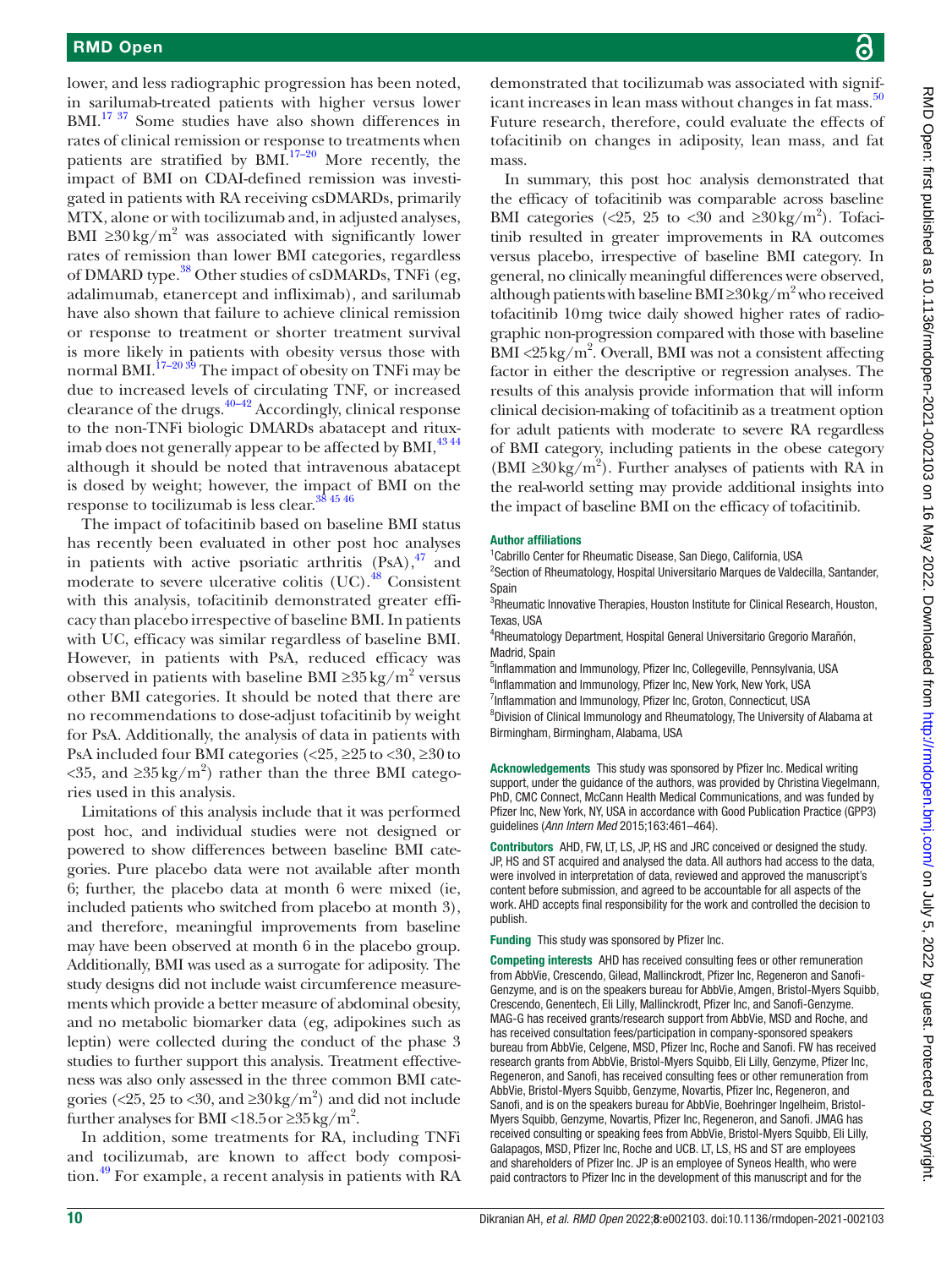lower, and less radiographic progression has been noted, in sarilumab-treated patients with higher versus lower BMI.<sup>17 37</sup> Some studies have also shown differences in rates of clinical remission or response to treatments when patients are stratified by  $BML^{17-20}$  More recently, the impact of BMI on CDAI-defined remission was investigated in patients with RA receiving csDMARDs, primarily MTX, alone or with tocilizumab and, in adjusted analyses, BMI  $\geq$ 30 kg/m<sup>2</sup> was associated with significantly lower rates of remission than lower BMI categories, regardless of DMARD type.<sup>38</sup> Other studies of csDMARDs, TNFi (eg, adalimumab, etanercept and infliximab), and sarilumab have also shown that failure to achieve clinical remission or response to treatment or shorter treatment survival is more likely in patients with obesity versus those with normal BMI.<sup>17–20 39</sup> The impact of obesity on TNFi may be due to increased levels of circulating TNF, or increased clearance of the drugs.[40–42](#page-11-2) Accordingly, clinical response to the non-TNFi biologic DMARDs abatacept and rituximab does not generally appear to be affected by BMI,  $^{43\,44}$ although it should be noted that intravenous abatacept is dosed by weight; however, the impact of BMI on the response to tocilizumab is less clear.[38 45 46](#page-11-1)

The impact of tofacitinib based on baseline BMI status has recently been evaluated in other post hoc analyses in patients with active psoriatic arthritis  $(PsA)$ ,  $^{47}$  $^{47}$  $^{47}$  and moderate to severe ulcerative colitis  $(UC).$ <sup>48</sup> Consistent with this analysis, tofacitinib demonstrated greater efficacy than placebo irrespective of baseline BMI. In patients with UC, efficacy was similar regardless of baseline BMI. However, in patients with PsA, reduced efficacy was observed in patients with baseline BMI ≥35 kg/m<sup>2</sup> versus other BMI categories. It should be noted that there are no recommendations to dose-adjust tofacitinib by weight for PsA. Additionally, the analysis of data in patients with PsA included four BMI categories (<25, ≥25to <30, ≥30to <35, and ≥35 kg/m<sup>2</sup>) rather than the three BMI categories used in this analysis.

Limitations of this analysis include that it was performed post hoc, and individual studies were not designed or powered to show differences between baseline BMI categories. Pure placebo data were not available after month 6; further, the placebo data at month 6 were mixed (ie, included patients who switched from placebo at month 3), and therefore, meaningful improvements from baseline may have been observed at month 6 in the placebo group. Additionally, BMI was used as a surrogate for adiposity. The study designs did not include waist circumference measurements which provide a better measure of abdominal obesity, and no metabolic biomarker data (eg, adipokines such as leptin) were collected during the conduct of the phase 3 studies to further support this analysis. Treatment effectiveness was also only assessed in the three common BMI categories (<25, 25 to <30, and  $\geq$ 30 kg/m<sup>2</sup>) and did not include further analyses for BMI <18.5 or  $\geq$ 35 kg/m<sup>2</sup>.

In addition, some treatments for RA, including TNFi and tocilizumab, are known to affect body composition[.49](#page-11-6) For example, a recent analysis in patients with RA

demonstrated that tocilizumab was associated with significant increases in lean mass without changes in fat mass. $50$ Future research, therefore, could evaluate the effects of tofacitinib on changes in adiposity, lean mass, and fat mass.

In summary, this post hoc analysis demonstrated that the efficacy of tofacitinib was comparable across baseline BMI categories (<25, 25 to <30 and  $\geq 30 \text{ kg/m}^2$ ). Tofacitinib resulted in greater improvements in RA outcomes versus placebo, irrespective of baseline BMI category. In general, no clinically meaningful differences were observed, although patients with baseline BMI ≥30 kg/m<sup>2</sup> who received tofacitinib 10mg twice daily showed higher rates of radiographic non-progression compared with those with baseline BMI <25 kg/m<sup>2</sup>. Overall, BMI was not a consistent affecting factor in either the descriptive or regression analyses. The results of this analysis provide information that will inform clinical decision-making of tofacitinib as a treatment option for adult patients with moderate to severe RA regardless of BMI category, including patients in the obese category (BMI ≥30 kg/m<sup>2</sup>). Further analyses of patients with RA in the real-world setting may provide additional insights into the impact of baseline BMI on the efficacy of tofacitinib.

#### Author affiliations

<sup>1</sup> Cabrillo Center for Rheumatic Disease, San Diego, California, USA <sup>2</sup> Section of Rheumatology, Hospital Universitario Marques de Valdecilla, Santander, Spain

<sup>3</sup>Rheumatic Innovative Therapies, Houston Institute for Clinical Research, Houston, Texas, USA

4 Rheumatology Department, Hospital General Universitario Gregorio Marañón, Madrid, Spain

5 Inflammation and Immunology, Pfizer Inc, Collegeville, Pennsylvania, USA <sup>6</sup>Inflammation and Immunology, Pfizer Inc, New York, New York, USA <sup>7</sup>Inflammation and Immunology, Pfizer Inc, Groton, Connecticut, USA <sup>8</sup>Division of Clinical Immunology and Rheumatology, The University of Alabama at Birmingham, Birmingham, Alabama, USA

Acknowledgements This study was sponsored by Pfizer Inc. Medical writing support, under the guidance of the authors, was provided by Christina Viegelmann, PhD, CMC Connect, McCann Health Medical Communications, and was funded by Pfizer Inc, New York, NY, USA in accordance with Good Publication Practice (GPP3) guidelines (*Ann Intern Med* 2015;163:461–464).

Contributors AHD, FW, LT, LS, JP, HS and JRC conceived or designed the study. JP, HS and ST acquired and analysed the data. All authors had access to the data, were involved in interpretation of data, reviewed and approved the manuscript's content before submission, and agreed to be accountable for all aspects of the work. AHD accepts final responsibility for the work and controlled the decision to publish.

Funding This study was sponsored by Pfizer Inc.

Competing interests AHD has received consulting fees or other remuneration from AbbVie, Crescendo, Gilead, Mallinckrodt, Pfizer Inc, Regeneron and Sanofi-Genzyme, and is on the speakers bureau for AbbVie, Amgen, Bristol-Myers Squibb, Crescendo, Genentech, Eli Lilly, Mallinckrodt, Pfizer Inc, and Sanofi-Genzyme. MAG-G has received grants/research support from AbbVie, MSD and Roche, and has received consultation fees/participation in company-sponsored speakers bureau from AbbVie, Celgene, MSD, Pfizer Inc, Roche and Sanofi. FW has received research grants from AbbVie, Bristol-Myers Squibb, Eli Lilly, Genzyme, Pfizer Inc, Regeneron, and Sanofi, has received consulting fees or other remuneration from AbbVie, Bristol-Myers Squibb, Genzyme, Novartis, Pfizer Inc, Regeneron, and Sanofi, and is on the speakers bureau for AbbVie, Boehringer Ingelheim, Bristol-Myers Squibb, Genzyme, Novartis, Pfizer Inc, Regeneron, and Sanofi. JMAG has received consulting or speaking fees from AbbVie, Bristol-Myers Squibb, Eli Lilly, Galapagos, MSD, Pfizer Inc, Roche and UCB. LT, LS, HS and ST are employees and shareholders of Pfizer Inc. JP is an employee of Syneos Health, who were paid contractors to Pfizer Inc in the development of this manuscript and for the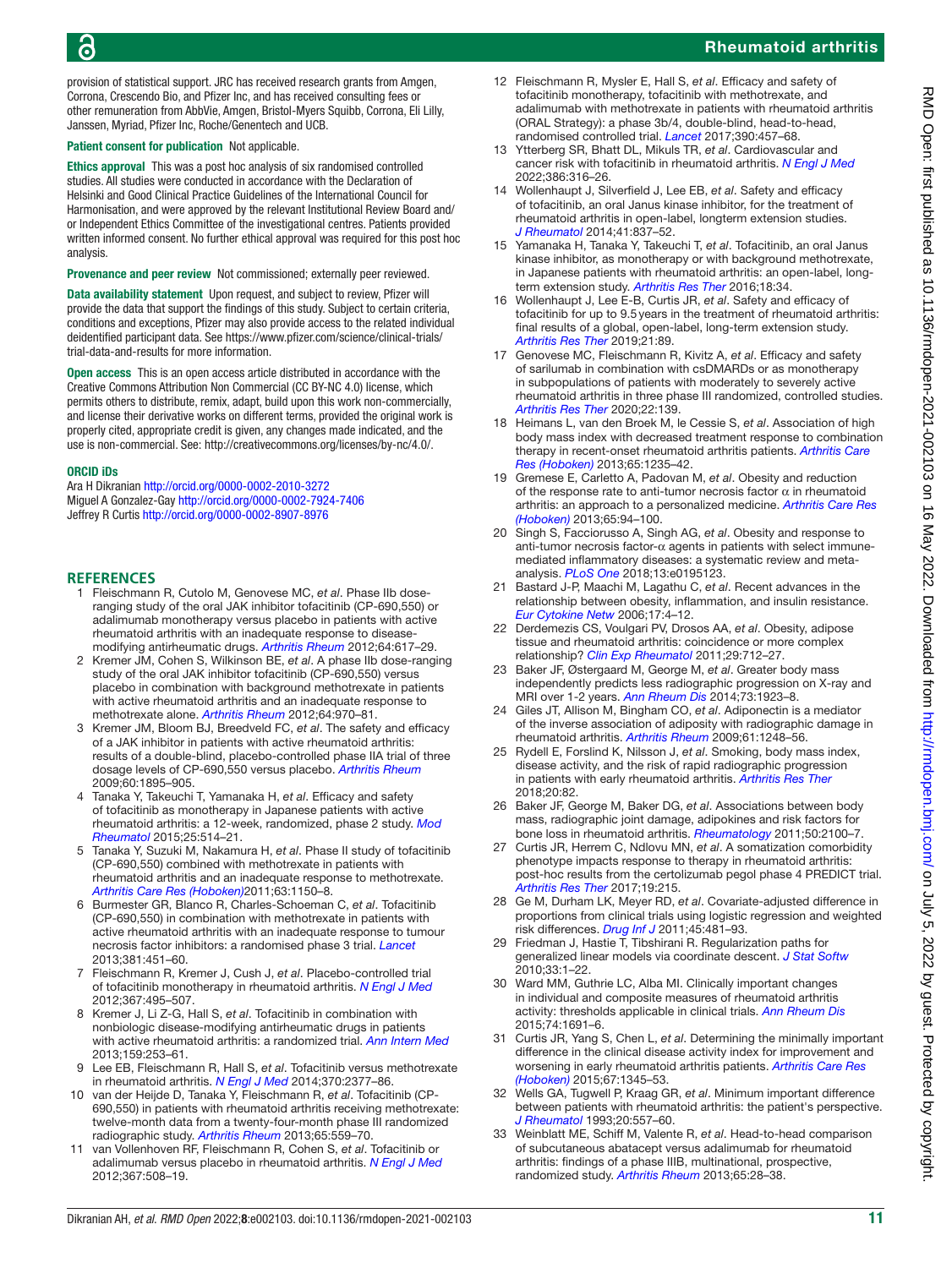## 6

#### Rheumatoid arthritis

provision of statistical support. JRC has received research grants from Amgen, Corrona, Crescendo Bio, and Pfizer Inc, and has received consulting fees or other remuneration from AbbVie, Amgen, Bristol-Myers Squibb, Corrona, Eli Lilly, Janssen, Myriad, Pfizer Inc, Roche/Genentech and UCB.

#### Patient consent for publication Not applicable.

Ethics approval This was a post hoc analysis of six randomised controlled studies. All studies were conducted in accordance with the Declaration of Helsinki and Good Clinical Practice Guidelines of the International Council for Harmonisation, and were approved by the relevant Institutional Review Board and/ or Independent Ethics Committee of the investigational centres. Patients provided written informed consent. No further ethical approval was required for this post hoc analysis.

Provenance and peer review Not commissioned; externally peer reviewed.

Data availability statement Upon request, and subject to review, Pfizer will provide the data that support the findings of this study. Subject to certain criteria, conditions and exceptions, Pfizer may also provide access to the related individual deidentified participant data. See [https://www.pfizer.com/science/clinical-trials/](https://www.pfizer.com/science/clinical-trials/trial-data-and-results) [trial-data-and-results](https://www.pfizer.com/science/clinical-trials/trial-data-and-results) for more information.

Open access This is an open access article distributed in accordance with the Creative Commons Attribution Non Commercial (CC BY-NC 4.0) license, which permits others to distribute, remix, adapt, build upon this work non-commercially, and license their derivative works on different terms, provided the original work is properly cited, appropriate credit is given, any changes made indicated, and the use is non-commercial. See:<http://creativecommons.org/licenses/by-nc/4.0/>.

#### ORCID iDs

Ara H Dikranian<http://orcid.org/0000-0002-2010-3272> Miguel A Gonzalez-Gay <http://orcid.org/0000-0002-7924-7406> Jeffrey R Curtis<http://orcid.org/0000-0002-8907-8976>

#### **REFERENCES**

- <span id="page-10-0"></span>1 Fleischmann R, Cutolo M, Genovese MC, *et al*. Phase IIb doseranging study of the oral JAK inhibitor tofacitinib (CP-690,550) or adalimumab monotherapy versus placebo in patients with active rheumatoid arthritis with an inadequate response to diseasemodifying antirheumatic drugs. *[Arthritis Rheum](http://dx.doi.org/10.1002/art.33383)* 2012;64:617–29.
- 2 Kremer JM, Cohen S, Wilkinson BE, *et al*. A phase IIb dose-ranging study of the oral JAK inhibitor tofacitinib (CP-690,550) versus placebo in combination with background methotrexate in patients with active rheumatoid arthritis and an inadequate response to methotrexate alone. *[Arthritis Rheum](http://dx.doi.org/10.1002/art.33419)* 2012;64:970–81.
- 3 Kremer JM, Bloom BJ, Breedveld FC, *et al*. The safety and efficacy of a JAK inhibitor in patients with active rheumatoid arthritis: results of a double-blind, placebo-controlled phase IIA trial of three dosage levels of CP-690,550 versus placebo. *[Arthritis Rheum](http://dx.doi.org/10.1002/art.24567)* 2009;60:1895–905.
- 4 Tanaka Y, Takeuchi T, Yamanaka H, *et al*. Efficacy and safety of tofacitinib as monotherapy in Japanese patients with active rheumatoid arthritis: a 12-week, randomized, phase 2 study. *[Mod](http://dx.doi.org/10.3109/14397595.2014.995875)  [Rheumatol](http://dx.doi.org/10.3109/14397595.2014.995875)* 2015;25:514–21.
- 5 Tanaka Y, Suzuki M, Nakamura H, *et al*. Phase II study of tofacitinib (CP-690,550) combined with methotrexate in patients with rheumatoid arthritis and an inadequate response to methotrexate. *[Arthritis Care Res \(Hoboken\)](http://dx.doi.org/10.1002/acr.20494)*2011;63:1150–8.
- <span id="page-10-1"></span>6 Burmester GR, Blanco R, Charles-Schoeman C, *et al*. Tofacitinib (CP-690,550) in combination with methotrexate in patients with active rheumatoid arthritis with an inadequate response to tumour necrosis factor inhibitors: a randomised phase 3 trial. *[Lancet](http://dx.doi.org/10.1016/S0140-6736(12)61424-X)* 2013;381:451–60.
- 7 Fleischmann R, Kremer J, Cush J, *et al*. Placebo-controlled trial of tofacitinib monotherapy in rheumatoid arthritis. *[N Engl J Med](http://dx.doi.org/10.1056/NEJMoa1109071)* 2012;367:495–507.
- 8 Kremer J, Li Z-G, Hall S, *et al*. Tofacitinib in combination with nonbiologic disease-modifying antirheumatic drugs in patients with active rheumatoid arthritis: a randomized trial. *[Ann Intern Med](http://dx.doi.org/10.7326/0003-4819-159-4-201308200-00006)* 2013;159:253–61.
- 9 Lee EB, Fleischmann R, Hall S, *et al*. Tofacitinib versus methotrexate in rheumatoid arthritis. *[N Engl J Med](http://dx.doi.org/10.1056/NEJMoa1310476)* 2014;370:2377–86.
- 10 van der Heijde D, Tanaka Y, Fleischmann R, *et al*. Tofacitinib (CP-690,550) in patients with rheumatoid arthritis receiving methotrexate: twelve-month data from a twenty-four-month phase III randomized radiographic study. *[Arthritis Rheum](http://dx.doi.org/10.1002/art.37816)* 2013;65:559–70.
- 11 van Vollenhoven RF, Fleischmann R, Cohen S, *et al*. Tofacitinib or adalimumab versus placebo in rheumatoid arthritis. *[N Engl J Med](http://dx.doi.org/10.1056/NEJMoa1112072)* 2012;367:508–19.
- <span id="page-10-2"></span>12 Fleischmann R, Mysler E, Hall S, *et al*. Efficacy and safety of tofacitinib monotherapy, tofacitinib with methotrexate, and adalimumab with methotrexate in patients with rheumatoid arthritis (ORAL Strategy): a phase 3b/4, double-blind, head-to-head, randomised controlled trial. *[Lancet](http://dx.doi.org/10.1016/S0140-6736(17)31618-5)* 2017;390:457–68.
- 13 Ytterberg SR, Bhatt DL, Mikuls TR, *et al*. Cardiovascular and cancer risk with tofacitinib in rheumatoid arthritis. *[N Engl J Med](http://dx.doi.org/10.1056/NEJMoa2109927)* 2022;386:316–26.
- <span id="page-10-3"></span>14 Wollenhaupt J, Silverfield J, Lee EB, *et al*. Safety and efficacy of tofacitinib, an oral Janus kinase inhibitor, for the treatment of rheumatoid arthritis in open-label, longterm extension studies. *[J Rheumatol](http://dx.doi.org/10.3899/jrheum.130683)* 2014;41:837–52.
- 15 Yamanaka H, Tanaka Y, Takeuchi T, *et al*. Tofacitinib, an oral Janus kinase inhibitor, as monotherapy or with background methotrexate, in Japanese patients with rheumatoid arthritis: an open-label, longterm extension study. *[Arthritis Res Ther](http://dx.doi.org/10.1186/s13075-016-0932-2)* 2016;18:34.
- 16 Wollenhaupt J, Lee E-B, Curtis JR, *et al*. Safety and efficacy of tofacitinib for up to 9.5years in the treatment of rheumatoid arthritis: final results of a global, open-label, long-term extension study. *[Arthritis Res Ther](http://dx.doi.org/10.1186/s13075-019-1866-2)* 2019;21:89.
- <span id="page-10-4"></span>17 Genovese MC, Fleischmann R, Kivitz A, *et al*. Efficacy and safety of sarilumab in combination with csDMARDs or as monotherapy in subpopulations of patients with moderately to severely active rheumatoid arthritis in three phase III randomized, controlled studies. *[Arthritis Res Ther](http://dx.doi.org/10.1186/s13075-020-02194-z)* 2020;22:139.
- 18 Heimans L, van den Broek M, le Cessie S, *et al*. Association of high body mass index with decreased treatment response to combination therapy in recent-onset rheumatoid arthritis patients. *[Arthritis Care](http://dx.doi.org/10.1002/acr.21978)  [Res \(Hoboken\)](http://dx.doi.org/10.1002/acr.21978)* 2013;65:1235–42.
- 19 Gremese E, Carletto A, Padovan M, *et al*. Obesity and reduction of the response rate to anti-tumor necrosis factor  $\alpha$  in rheumatoid arthritis: an approach to a personalized medicine. *[Arthritis Care Res](http://dx.doi.org/10.1002/acr.21768)  [\(Hoboken\)](http://dx.doi.org/10.1002/acr.21768)* 2013;65:94–100.
- 20 Singh S, Facciorusso A, Singh AG, *et al*. Obesity and response to anti-tumor necrosis factor-α agents in patients with select immunemediated inflammatory diseases: a systematic review and metaanalysis. *[PLoS One](http://dx.doi.org/10.1371/journal.pone.0195123)* 2018;13:e0195123.
- <span id="page-10-5"></span>21 Bastard J-P, Maachi M, Lagathu C, *et al*. Recent advances in the relationship between obesity, inflammation, and insulin resistance. *[Eur Cytokine Netw](http://www.ncbi.nlm.nih.gov/pubmed/16613757)* 2006;17:4–12.
- <span id="page-10-6"></span>22 Derdemezis CS, Voulgari PV, Drosos AA, *et al*. Obesity, adipose tissue and rheumatoid arthritis: coincidence or more complex relationship? *[Clin Exp Rheumatol](http://www.ncbi.nlm.nih.gov/pubmed/21640051)* 2011;29:712–27.
- <span id="page-10-7"></span>23 Baker JF, Østergaard M, George M, *et al*. Greater body mass independently predicts less radiographic progression on X-ray and MRI over 1-2 years. *[Ann Rheum Dis](http://dx.doi.org/10.1136/annrheumdis-2014-205544)* 2014;73:1923–8.
- <span id="page-10-13"></span>24 Giles JT, Allison M, Bingham CO, *et al*. Adiponectin is a mediator of the inverse association of adiposity with radiographic damage in rheumatoid arthritis. *[Arthritis Rheum](http://dx.doi.org/10.1002/art.24789)* 2009;61:1248–56.
- 25 Rydell E, Forslind K, Nilsson J, *et al*. Smoking, body mass index, disease activity, and the risk of rapid radiographic progression in patients with early rheumatoid arthritis. *[Arthritis Res Ther](http://dx.doi.org/10.1186/s13075-018-1575-2)* 2018;20:82.
- 26 Baker JF, George M, Baker DG, *et al*. Associations between body mass, radiographic joint damage, adipokines and risk factors for bone loss in rheumatoid arthritis. *[Rheumatology](http://dx.doi.org/10.1093/rheumatology/ker294)* 2011;50:2100–7.
- <span id="page-10-8"></span>27 Curtis JR, Herrem C, Ndlovu MN, *et al*. A somatization comorbidity phenotype impacts response to therapy in rheumatoid arthritis: post-hoc results from the certolizumab pegol phase 4 PREDICT trial. *[Arthritis Res Ther](http://dx.doi.org/10.1186/s13075-017-1412-z)* 2017;19:215.
- <span id="page-10-9"></span>28 Ge M, Durham LK, Meyer RD, *et al*. Covariate-adjusted difference in proportions from clinical trials using logistic regression and weighted risk differences. *[Drug Inf J](http://dx.doi.org/10.1177/009286151104500409)* 2011;45:481–93.
- <span id="page-10-10"></span>29 Friedman J, Hastie T, Tibshirani R. Regularization paths for generalized linear models via coordinate descent. *[J Stat Softw](http://dx.doi.org/10.18637/jss.v033.i01)* 2010;33:1–22.
- <span id="page-10-11"></span>30 Ward MM, Guthrie LC, Alba MI. Clinically important changes in individual and composite measures of rheumatoid arthritis activity: thresholds applicable in clinical trials. *[Ann Rheum Dis](http://dx.doi.org/10.1136/annrheumdis-2013-205079)* 2015;74:1691–6.
- 31 Curtis JR, Yang S, Chen L, *et al*. Determining the minimally important difference in the clinical disease activity index for improvement and worsening in early rheumatoid arthritis patients. *[Arthritis Care Res](http://dx.doi.org/10.1002/acr.22606)  [\(Hoboken\)](http://dx.doi.org/10.1002/acr.22606)* 2015;67:1345–53.
- <span id="page-10-12"></span>32 Wells GA, Tugwell P, Kraag GR, *et al*. Minimum important difference between patients with rheumatoid arthritis: the patient's perspective. *[J Rheumatol](http://www.ncbi.nlm.nih.gov/pubmed/8478873)* 1993;20:557–60.
- 33 Weinblatt ME, Schiff M, Valente R, *et al*. Head-to-head comparison of subcutaneous abatacept versus adalimumab for rheumatoid arthritis: findings of a phase IIIB, multinational, prospective, randomized study. *[Arthritis Rheum](http://dx.doi.org/10.1002/art.37711)* 2013;65:28–38.